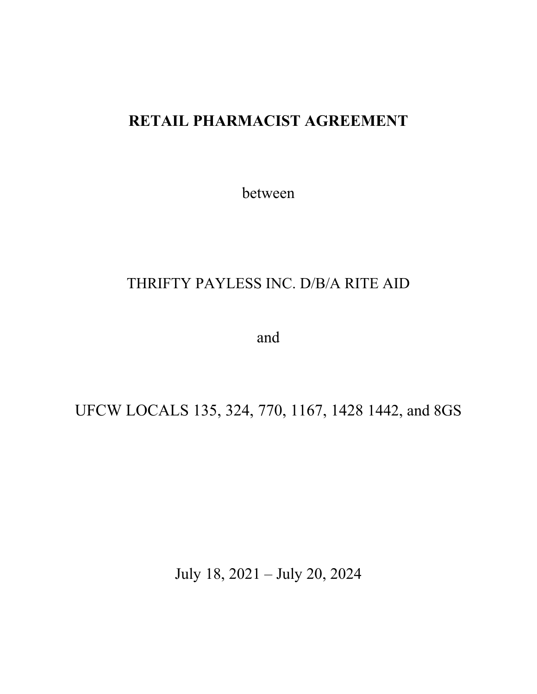# **RETAIL PHARMACIST AGREEMENT**

between

# THRIFTY PAYLESS INC. D/B/A RITE AID

and

UFCW LOCALS 135, 324, 770, 1167, 1428 1442, and 8GS

July 18, 2021 – July 20, 2024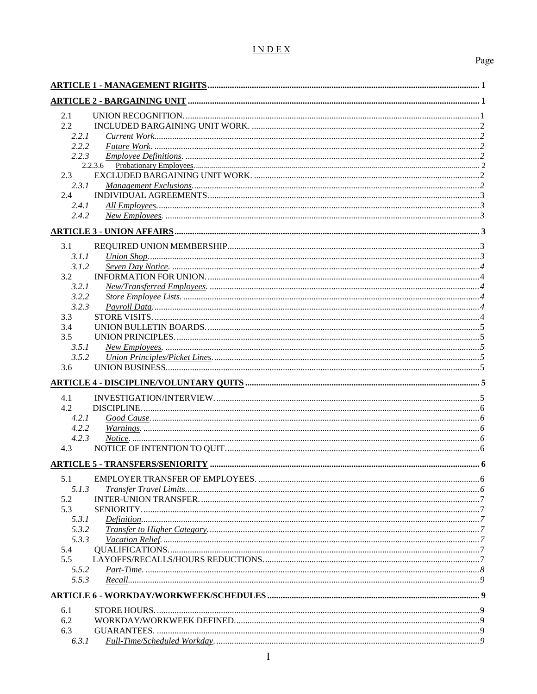# INDEX

# Page

| 2.1           |         |  |
|---------------|---------|--|
| $2.2^{\circ}$ |         |  |
| 2.2.1         |         |  |
| 2.2.2         |         |  |
| 2.2.3         |         |  |
|               | 2.2.3.6 |  |
| 2.3           |         |  |
| 2.3.1         |         |  |
| 2.4           |         |  |
| 2.4.1         |         |  |
| 2.4.2         |         |  |
|               |         |  |
| 3.1           |         |  |
| 3.1.1         |         |  |
| 3.1.2         |         |  |
| 3.2           |         |  |
| 3.2.1         |         |  |
| 3.2.2         |         |  |
| 3.2.3         |         |  |
| 3.3           |         |  |
| 3.4           |         |  |
| 3.5           |         |  |
| 3.5.1         |         |  |
| 3.5.2         |         |  |
| 3.6           |         |  |
|               |         |  |
| 4.1           |         |  |
| 4.2           |         |  |
| 4.2.1         |         |  |
| 4.2.2         |         |  |
| 4.2.3         |         |  |
| 4.3           |         |  |
|               |         |  |
|               |         |  |
| 5.1           |         |  |
| 5.1.3         |         |  |
| 5.2           |         |  |
| 5.3           |         |  |
| 5.3.1         |         |  |
| 5.3.2         |         |  |
| 5.3.3         |         |  |
| 5.4           |         |  |
| 5.5           |         |  |
| 5.5.2         |         |  |
| 5.5.3         |         |  |
|               |         |  |
| 6.1           |         |  |
| 6.2           |         |  |
| 6.3           |         |  |
| 6.3.1         |         |  |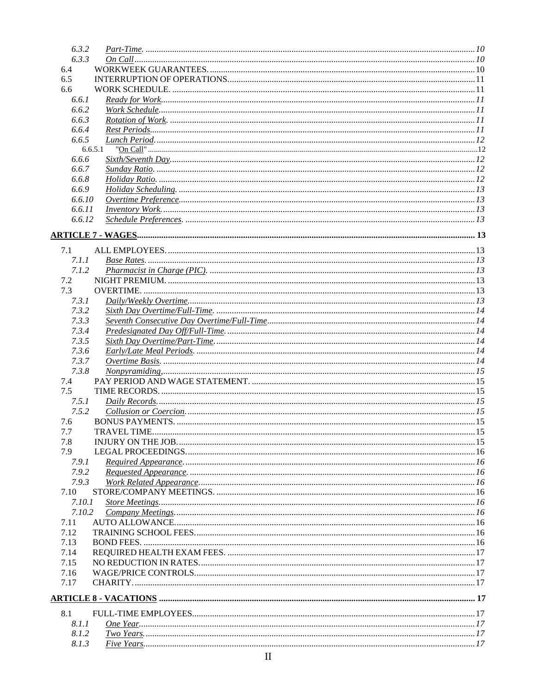| 6.3.2  |         |  |
|--------|---------|--|
| 6.3.3  |         |  |
| 6.4    |         |  |
| 6.5    |         |  |
| 6.6    |         |  |
| 6.6.1  |         |  |
| 6.6.2  |         |  |
|        |         |  |
| 6.6.3  |         |  |
| 6.6.4  |         |  |
| 6.6.5  |         |  |
|        | 6.6.5.1 |  |
| 6.6.6  |         |  |
| 6.6.7  |         |  |
| 6.6.8  |         |  |
| 6.6.9  |         |  |
| 6.6.10 |         |  |
| 6.6.11 |         |  |
| 6.6.12 |         |  |
|        |         |  |
|        |         |  |
| 7.1    |         |  |
| 7.1.1  |         |  |
| 7.1.2  |         |  |
| 7.2    |         |  |
|        |         |  |
| 7.3    |         |  |
| 7.3.1  |         |  |
| 7.3.2  |         |  |
| 7.3.3  |         |  |
| 7.3.4  |         |  |
| 7.3.5  |         |  |
| 7.3.6  |         |  |
| 7.3.7  |         |  |
| 7.3.8  |         |  |
| 7.4    |         |  |
| 7.5    |         |  |
| 7.5.1  |         |  |
| 7.5.2  |         |  |
| 7.6    |         |  |
| 7.7    |         |  |
| 7.8    |         |  |
| 7.9    |         |  |
| 7.9.1  |         |  |
| 7.9.2  |         |  |
| 7.9.3  |         |  |
|        |         |  |
| 7.10   |         |  |
| 7.10.1 |         |  |
| 7.10.2 |         |  |
| 7.11   |         |  |
| 7.12   |         |  |
| 7.13   |         |  |
| 7.14   |         |  |
| 7.15   |         |  |
| 7.16   |         |  |
| 7.17   |         |  |
|        |         |  |
| 8.1    |         |  |
| 8.1.1  |         |  |
| 8.1.2  |         |  |
| 8.1.3  |         |  |
|        |         |  |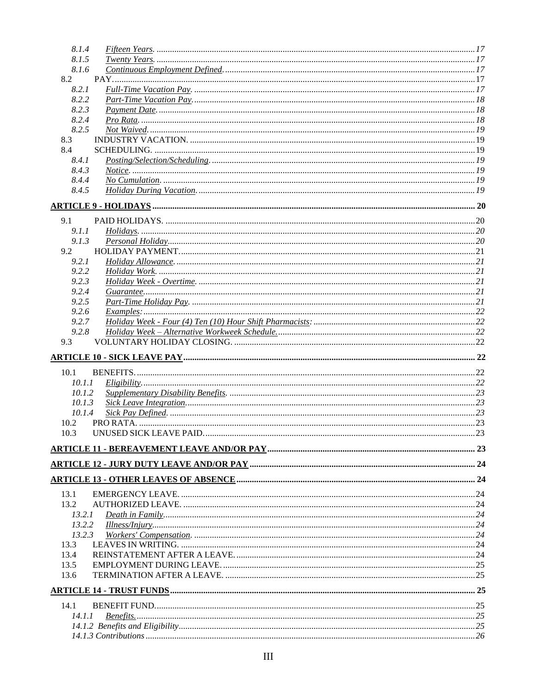| 8.1.4                 |  |
|-----------------------|--|
| 8.1.5                 |  |
| 8.1.6                 |  |
| 8.2                   |  |
| 8.2.1                 |  |
| 8.2.2                 |  |
| 8.2.3                 |  |
| 8.2.4                 |  |
| 8.2.5                 |  |
| 8.3<br>8.4            |  |
| 8.4.1                 |  |
| 8.4.3                 |  |
| 8.4.4                 |  |
| 8.4.5                 |  |
|                       |  |
|                       |  |
| 9.1                   |  |
| 9.1.1                 |  |
| 9.1.3<br>9.2          |  |
| 9.2.1                 |  |
| 9.2.2                 |  |
| 9.2.3                 |  |
| 9.2.4                 |  |
| 9.2.5                 |  |
| 9.2.6<br>Examples: 22 |  |
| 9.2.7                 |  |
| 9.2.8                 |  |
| 9.3                   |  |
|                       |  |
| 10.1                  |  |
| 10.1.1                |  |
| 10.1.2                |  |
| 10.1.3                |  |
| 10.1.4                |  |
| 10.2                  |  |
| 10.3                  |  |
|                       |  |
|                       |  |
|                       |  |
|                       |  |
| 13.1                  |  |
| 13.2                  |  |
| 13.2.1<br>13.2.2      |  |
| 13.2.3                |  |
| 13.3                  |  |
| 13.4                  |  |
| 13.5                  |  |
| 13.6                  |  |
|                       |  |
| 14.1                  |  |
| 14.1.1                |  |
|                       |  |
|                       |  |
|                       |  |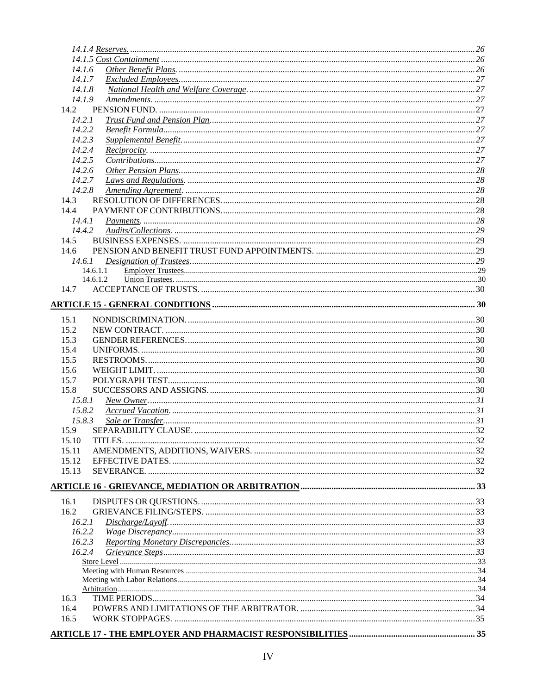| 14.1.6   |  |
|----------|--|
| 14.1.7   |  |
| 14.1.8   |  |
| 14.1.9   |  |
| 14.2     |  |
| 14.2.1   |  |
| 14.2.2   |  |
| 14.2.3   |  |
| 14.2.4   |  |
| 14.2.5   |  |
| 14.2.6   |  |
| 14.2.7   |  |
| 14.2.8   |  |
| 14.3     |  |
| 14.4     |  |
| 14.4.1   |  |
| 14.4.2   |  |
| 14.5     |  |
| 14.6     |  |
| 14.6.1   |  |
| 14.6.1.1 |  |
| 14.6.1.2 |  |
|          |  |
|          |  |
| 15.1     |  |
| 15.2     |  |
| 15.3     |  |
| 15.4     |  |
| 15.5     |  |
| 15.6     |  |
| 15.7     |  |
| 15.8     |  |
| 15.8.1   |  |
| 15.8.2   |  |
| 15.8.3   |  |
| 15.9     |  |
| 15.10    |  |
| 15.11    |  |
| 15.12    |  |
| 15.13    |  |
|          |  |
|          |  |
| 16.1     |  |
| 16.2     |  |
| 16.2.1   |  |
| 16.2.2   |  |
| 16.2.3   |  |
| 16.2.4   |  |
|          |  |
|          |  |
|          |  |
|          |  |
| 16.3     |  |
| 16.4     |  |
| 16.5     |  |
|          |  |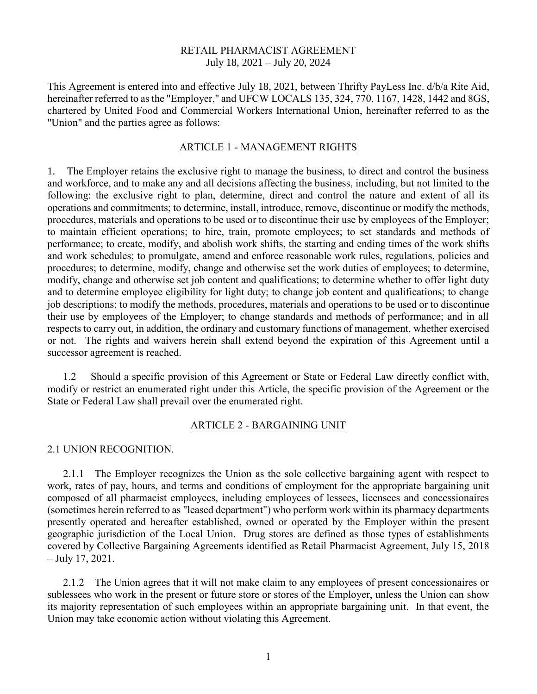#### RETAIL PHARMACIST AGREEMENT July 18, 2021 – July 20, 2024

This Agreement is entered into and effective July 18, 2021, between Thrifty PayLess Inc. d/b/a Rite Aid, hereinafter referred to as the "Employer," and UFCW LOCALS 135, 324, 770, 1167, 1428, 1442 and 8GS, chartered by United Food and Commercial Workers International Union, hereinafter referred to as the "Union" and the parties agree as follows:

#### ARTICLE 1 - MANAGEMENT RIGHTS

1. The Employer retains the exclusive right to manage the business, to direct and control the business and workforce, and to make any and all decisions affecting the business, including, but not limited to the following: the exclusive right to plan, determine, direct and control the nature and extent of all its operations and commitments; to determine, install, introduce, remove, discontinue or modify the methods, procedures, materials and operations to be used or to discontinue their use by employees of the Employer; to maintain efficient operations; to hire, train, promote employees; to set standards and methods of performance; to create, modify, and abolish work shifts, the starting and ending times of the work shifts and work schedules; to promulgate, amend and enforce reasonable work rules, regulations, policies and procedures; to determine, modify, change and otherwise set the work duties of employees; to determine, modify, change and otherwise set job content and qualifications; to determine whether to offer light duty and to determine employee eligibility for light duty; to change job content and qualifications; to change job descriptions; to modify the methods, procedures, materials and operations to be used or to discontinue their use by employees of the Employer; to change standards and methods of performance; and in all respects to carry out, in addition, the ordinary and customary functions of management, whether exercised or not. The rights and waivers herein shall extend beyond the expiration of this Agreement until a successor agreement is reached.

1.2 Should a specific provision of this Agreement or State or Federal Law directly conflict with, modify or restrict an enumerated right under this Article, the specific provision of the Agreement or the State or Federal Law shall prevail over the enumerated right.

#### ARTICLE 2 - BARGAINING UNIT

#### 2.1 UNION RECOGNITION.

2.1.1 The Employer recognizes the Union as the sole collective bargaining agent with respect to work, rates of pay, hours, and terms and conditions of employment for the appropriate bargaining unit composed of all pharmacist employees, including employees of lessees, licensees and concessionaires (sometimes herein referred to as "leased department") who perform work within its pharmacy departments presently operated and hereafter established, owned or operated by the Employer within the present geographic jurisdiction of the Local Union. Drug stores are defined as those types of establishments covered by Collective Bargaining Agreements identified as Retail Pharmacist Agreement, July 15, 2018 – July 17, 2021.

2.1.2 The Union agrees that it will not make claim to any employees of present concessionaires or sublessees who work in the present or future store or stores of the Employer, unless the Union can show its majority representation of such employees within an appropriate bargaining unit. In that event, the Union may take economic action without violating this Agreement.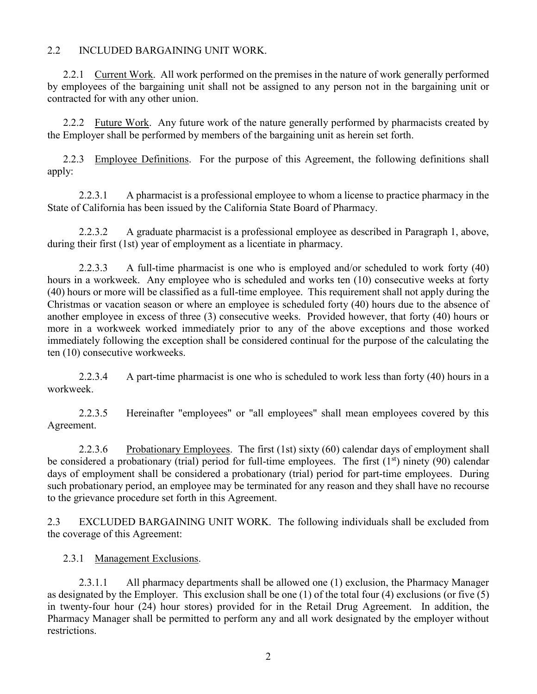### 2.2 INCLUDED BARGAINING UNIT WORK.

2.2.1 Current Work. All work performed on the premises in the nature of work generally performed by employees of the bargaining unit shall not be assigned to any person not in the bargaining unit or contracted for with any other union.

2.2.2 Future Work. Any future work of the nature generally performed by pharmacists created by the Employer shall be performed by members of the bargaining unit as herein set forth.

2.2.3 Employee Definitions. For the purpose of this Agreement, the following definitions shall apply:

2.2.3.1 A pharmacist is a professional employee to whom a license to practice pharmacy in the State of California has been issued by the California State Board of Pharmacy.

2.2.3.2 A graduate pharmacist is a professional employee as described in Paragraph 1, above, during their first (1st) year of employment as a licentiate in pharmacy.

2.2.3.3 A full-time pharmacist is one who is employed and/or scheduled to work forty (40) hours in a workweek. Any employee who is scheduled and works ten (10) consecutive weeks at forty (40) hours or more will be classified as a full-time employee. This requirement shall not apply during the Christmas or vacation season or where an employee is scheduled forty (40) hours due to the absence of another employee in excess of three (3) consecutive weeks. Provided however, that forty (40) hours or more in a workweek worked immediately prior to any of the above exceptions and those worked immediately following the exception shall be considered continual for the purpose of the calculating the ten (10) consecutive workweeks.

2.2.3.4 A part-time pharmacist is one who is scheduled to work less than forty (40) hours in a workweek.

2.2.3.5 Hereinafter "employees" or "all employees" shall mean employees covered by this Agreement.

2.2.3.6 Probationary Employees. The first (1st) sixty (60) calendar days of employment shall be considered a probationary (trial) period for full-time employees. The first  $(1<sup>st</sup>)$  ninety (90) calendar days of employment shall be considered a probationary (trial) period for part-time employees. During such probationary period, an employee may be terminated for any reason and they shall have no recourse to the grievance procedure set forth in this Agreement.

2.3 EXCLUDED BARGAINING UNIT WORK. The following individuals shall be excluded from the coverage of this Agreement:

2.3.1 Management Exclusions.

2.3.1.1 All pharmacy departments shall be allowed one (1) exclusion, the Pharmacy Manager as designated by the Employer. This exclusion shall be one (1) of the total four (4) exclusions (or five (5) in twenty-four hour (24) hour stores) provided for in the Retail Drug Agreement. In addition, the Pharmacy Manager shall be permitted to perform any and all work designated by the employer without restrictions.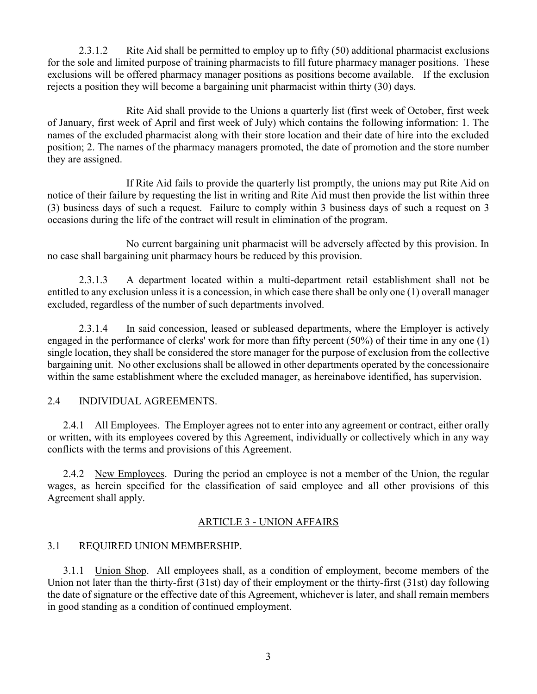2.3.1.2 Rite Aid shall be permitted to employ up to fifty (50) additional pharmacist exclusions for the sole and limited purpose of training pharmacists to fill future pharmacy manager positions. These exclusions will be offered pharmacy manager positions as positions become available. If the exclusion rejects a position they will become a bargaining unit pharmacist within thirty (30) days.

Rite Aid shall provide to the Unions a quarterly list (first week of October, first week of January, first week of April and first week of July) which contains the following information: 1. The names of the excluded pharmacist along with their store location and their date of hire into the excluded position; 2. The names of the pharmacy managers promoted, the date of promotion and the store number they are assigned.

If Rite Aid fails to provide the quarterly list promptly, the unions may put Rite Aid on notice of their failure by requesting the list in writing and Rite Aid must then provide the list within three (3) business days of such a request. Failure to comply within 3 business days of such a request on 3 occasions during the life of the contract will result in elimination of the program.

No current bargaining unit pharmacist will be adversely affected by this provision. In no case shall bargaining unit pharmacy hours be reduced by this provision.

2.3.1.3 A department located within a multi-department retail establishment shall not be entitled to any exclusion unless it is a concession, in which case there shall be only one (1) overall manager excluded, regardless of the number of such departments involved.

2.3.1.4 In said concession, leased or subleased departments, where the Employer is actively engaged in the performance of clerks' work for more than fifty percent (50%) of their time in any one (1) single location, they shall be considered the store manager for the purpose of exclusion from the collective bargaining unit. No other exclusions shall be allowed in other departments operated by the concessionaire within the same establishment where the excluded manager, as hereinabove identified, has supervision.

## 2.4 INDIVIDUAL AGREEMENTS.

2.4.1 All Employees. The Employer agrees not to enter into any agreement or contract, either orally or written, with its employees covered by this Agreement, individually or collectively which in any way conflicts with the terms and provisions of this Agreement.

2.4.2 New Employees. During the period an employee is not a member of the Union, the regular wages, as herein specified for the classification of said employee and all other provisions of this Agreement shall apply.

## ARTICLE 3 - UNION AFFAIRS

## 3.1 REQUIRED UNION MEMBERSHIP.

3.1.1 Union Shop. All employees shall, as a condition of employment, become members of the Union not later than the thirty-first (31st) day of their employment or the thirty-first (31st) day following the date of signature or the effective date of this Agreement, whichever is later, and shall remain members in good standing as a condition of continued employment.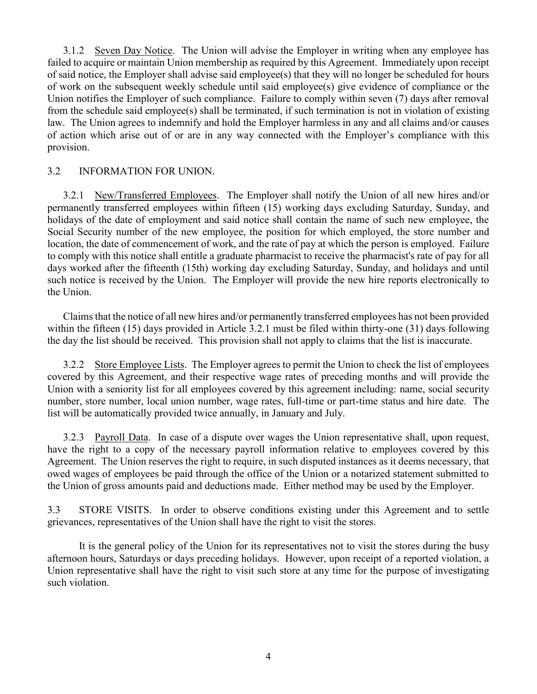3.1.2 Seven Day Notice. The Union will advise the Employer in writing when any employee has failed to acquire or maintain Union membership as required by this Agreement. Immediately upon receipt of said notice, the Employer shall advise said employee(s) that they will no longer be scheduled for hours of work on the subsequent weekly schedule until said employee(s) give evidence of compliance or the Union notifies the Employer of such compliance. Failure to comply within seven (7) days after removal from the schedule said employee(s) shall be terminated, if such termination is not in violation of existing law. The Union agrees to indemnify and hold the Employer harmless in any and all claims and/or causes of action which arise out of or are in any way connected with the Employer's compliance with this provision.

## 3.2 INFORMATION FOR UNION.

3.2.1 New/Transferred Employees. The Employer shall notify the Union of all new hires and/or permanently transferred employees within fifteen (15) working days excluding Saturday, Sunday, and holidays of the date of employment and said notice shall contain the name of such new employee, the Social Security number of the new employee, the position for which employed, the store number and location, the date of commencement of work, and the rate of pay at which the person is employed. Failure to comply with this notice shall entitle a graduate pharmacist to receive the pharmacist's rate of pay for all days worked after the fifteenth (15th) working day excluding Saturday, Sunday, and holidays and until such notice is received by the Union. The Employer will provide the new hire reports electronically to the Union.

Claims that the notice of all new hires and/or permanently transferred employees has not been provided within the fifteen (15) days provided in Article 3.2.1 must be filed within thirty-one (31) days following the day the list should be received. This provision shall not apply to claims that the list is inaccurate.

3.2.2 Store Employee Lists. The Employer agrees to permit the Union to check the list of employees covered by this Agreement, and their respective wage rates of preceding months and will provide the Union with a seniority list for all employees covered by this agreement including: name, social security number, store number, local union number, wage rates, full-time or part-time status and hire date. The list will be automatically provided twice annually, in January and July.

3.2.3 Payroll Data. In case of a dispute over wages the Union representative shall, upon request, have the right to a copy of the necessary payroll information relative to employees covered by this Agreement. The Union reserves the right to require, in such disputed instances as it deems necessary, that owed wages of employees be paid through the office of the Union or a notarized statement submitted to the Union of gross amounts paid and deductions made. Either method may be used by the Employer.

3.3 STORE VISITS. In order to observe conditions existing under this Agreement and to settle grievances, representatives of the Union shall have the right to visit the stores.

It is the general policy of the Union for its representatives not to visit the stores during the busy afternoon hours, Saturdays or days preceding holidays. However, upon receipt of a reported violation, a Union representative shall have the right to visit such store at any time for the purpose of investigating such violation.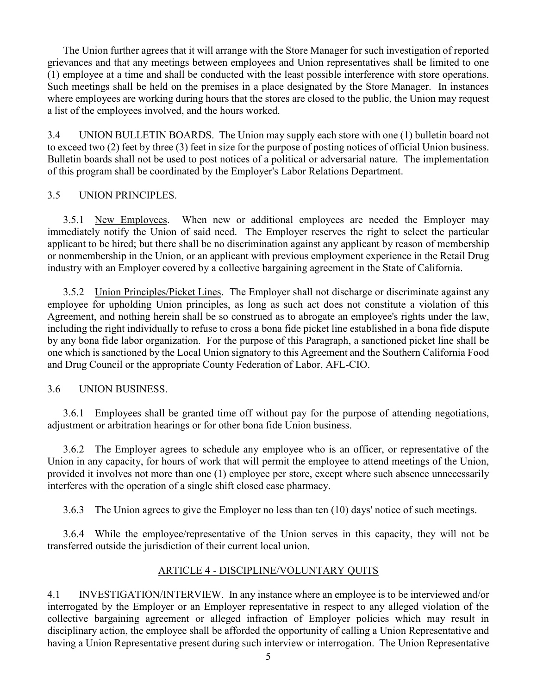The Union further agrees that it will arrange with the Store Manager for such investigation of reported grievances and that any meetings between employees and Union representatives shall be limited to one (1) employee at a time and shall be conducted with the least possible interference with store operations. Such meetings shall be held on the premises in a place designated by the Store Manager. In instances where employees are working during hours that the stores are closed to the public, the Union may request a list of the employees involved, and the hours worked.

3.4 UNION BULLETIN BOARDS. The Union may supply each store with one (1) bulletin board not to exceed two (2) feet by three (3) feet in size for the purpose of posting notices of official Union business. Bulletin boards shall not be used to post notices of a political or adversarial nature. The implementation of this program shall be coordinated by the Employer's Labor Relations Department.

# 3.5 UNION PRINCIPLES.

3.5.1 New Employees. When new or additional employees are needed the Employer may immediately notify the Union of said need. The Employer reserves the right to select the particular applicant to be hired; but there shall be no discrimination against any applicant by reason of membership or nonmembership in the Union, or an applicant with previous employment experience in the Retail Drug industry with an Employer covered by a collective bargaining agreement in the State of California.

3.5.2 Union Principles/Picket Lines. The Employer shall not discharge or discriminate against any employee for upholding Union principles, as long as such act does not constitute a violation of this Agreement, and nothing herein shall be so construed as to abrogate an employee's rights under the law, including the right individually to refuse to cross a bona fide picket line established in a bona fide dispute by any bona fide labor organization. For the purpose of this Paragraph, a sanctioned picket line shall be one which is sanctioned by the Local Union signatory to this Agreement and the Southern California Food and Drug Council or the appropriate County Federation of Labor, AFL-CIO.

## 3.6 UNION BUSINESS.

3.6.1 Employees shall be granted time off without pay for the purpose of attending negotiations, adjustment or arbitration hearings or for other bona fide Union business.

3.6.2 The Employer agrees to schedule any employee who is an officer, or representative of the Union in any capacity, for hours of work that will permit the employee to attend meetings of the Union, provided it involves not more than one (1) employee per store, except where such absence unnecessarily interferes with the operation of a single shift closed case pharmacy.

3.6.3 The Union agrees to give the Employer no less than ten (10) days' notice of such meetings.

3.6.4 While the employee/representative of the Union serves in this capacity, they will not be transferred outside the jurisdiction of their current local union.

# ARTICLE 4 - DISCIPLINE/VOLUNTARY QUITS

4.1 INVESTIGATION/INTERVIEW. In any instance where an employee is to be interviewed and/or interrogated by the Employer or an Employer representative in respect to any alleged violation of the collective bargaining agreement or alleged infraction of Employer policies which may result in disciplinary action, the employee shall be afforded the opportunity of calling a Union Representative and having a Union Representative present during such interview or interrogation. The Union Representative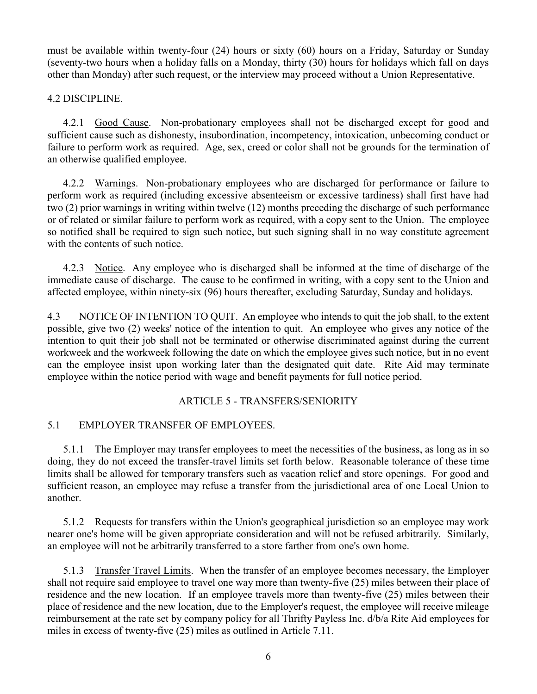must be available within twenty-four (24) hours or sixty (60) hours on a Friday, Saturday or Sunday (seventy-two hours when a holiday falls on a Monday, thirty (30) hours for holidays which fall on days other than Monday) after such request, or the interview may proceed without a Union Representative.

4.2 DISCIPLINE.

4.2.1 Good Cause. Non-probationary employees shall not be discharged except for good and sufficient cause such as dishonesty, insubordination, incompetency, intoxication, unbecoming conduct or failure to perform work as required. Age, sex, creed or color shall not be grounds for the termination of an otherwise qualified employee.

4.2.2 Warnings. Non-probationary employees who are discharged for performance or failure to perform work as required (including excessive absenteeism or excessive tardiness) shall first have had two (2) prior warnings in writing within twelve (12) months preceding the discharge of such performance or of related or similar failure to perform work as required, with a copy sent to the Union. The employee so notified shall be required to sign such notice, but such signing shall in no way constitute agreement with the contents of such notice.

4.2.3 Notice. Any employee who is discharged shall be informed at the time of discharge of the immediate cause of discharge. The cause to be confirmed in writing, with a copy sent to the Union and affected employee, within ninety-six (96) hours thereafter, excluding Saturday, Sunday and holidays.

4.3 NOTICE OF INTENTION TO QUIT. An employee who intends to quit the job shall, to the extent possible, give two (2) weeks' notice of the intention to quit. An employee who gives any notice of the intention to quit their job shall not be terminated or otherwise discriminated against during the current workweek and the workweek following the date on which the employee gives such notice, but in no event can the employee insist upon working later than the designated quit date. Rite Aid may terminate employee within the notice period with wage and benefit payments for full notice period.

## ARTICLE 5 - TRANSFERS/SENIORITY

## 5.1 EMPLOYER TRANSFER OF EMPLOYEES.

5.1.1 The Employer may transfer employees to meet the necessities of the business, as long as in so doing, they do not exceed the transfer-travel limits set forth below. Reasonable tolerance of these time limits shall be allowed for temporary transfers such as vacation relief and store openings. For good and sufficient reason, an employee may refuse a transfer from the jurisdictional area of one Local Union to another.

5.1.2 Requests for transfers within the Union's geographical jurisdiction so an employee may work nearer one's home will be given appropriate consideration and will not be refused arbitrarily. Similarly, an employee will not be arbitrarily transferred to a store farther from one's own home.

5.1.3 Transfer Travel Limits. When the transfer of an employee becomes necessary, the Employer shall not require said employee to travel one way more than twenty-five (25) miles between their place of residence and the new location. If an employee travels more than twenty-five (25) miles between their place of residence and the new location, due to the Employer's request, the employee will receive mileage reimbursement at the rate set by company policy for all Thrifty Payless Inc. d/b/a Rite Aid employees for miles in excess of twenty-five (25) miles as outlined in Article 7.11.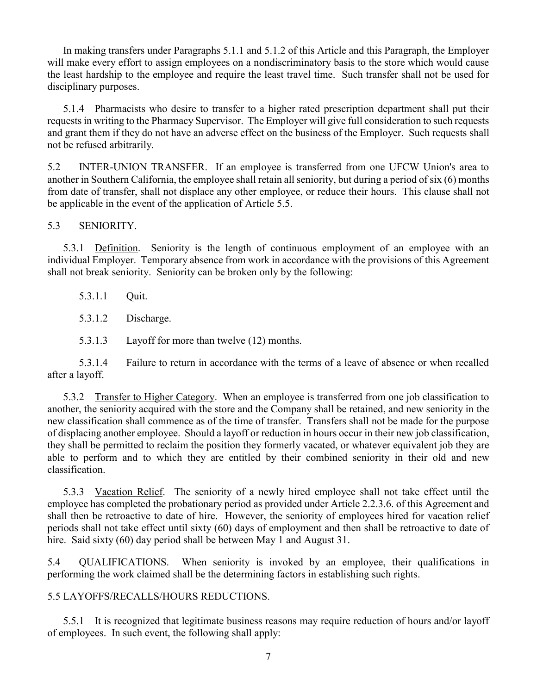In making transfers under Paragraphs 5.1.1 and 5.1.2 of this Article and this Paragraph, the Employer will make every effort to assign employees on a nondiscriminatory basis to the store which would cause the least hardship to the employee and require the least travel time. Such transfer shall not be used for disciplinary purposes.

5.1.4 Pharmacists who desire to transfer to a higher rated prescription department shall put their requests in writing to the Pharmacy Supervisor. The Employer will give full consideration to such requests and grant them if they do not have an adverse effect on the business of the Employer. Such requests shall not be refused arbitrarily.

5.2 INTER-UNION TRANSFER. If an employee is transferred from one UFCW Union's area to another in Southern California, the employee shall retain all seniority, but during a period of six (6) months from date of transfer, shall not displace any other employee, or reduce their hours. This clause shall not be applicable in the event of the application of Article 5.5.

5.3 SENIORITY.

5.3.1 Definition. Seniority is the length of continuous employment of an employee with an individual Employer. Temporary absence from work in accordance with the provisions of this Agreement shall not break seniority. Seniority can be broken only by the following:

5.3.1.1 Quit.

5.3.1.2 Discharge.

5.3.1.3 Layoff for more than twelve (12) months.

5.3.1.4 Failure to return in accordance with the terms of a leave of absence or when recalled after a layoff.

5.3.2 Transfer to Higher Category. When an employee is transferred from one job classification to another, the seniority acquired with the store and the Company shall be retained, and new seniority in the new classification shall commence as of the time of transfer. Transfers shall not be made for the purpose of displacing another employee. Should a layoff or reduction in hours occur in their new job classification, they shall be permitted to reclaim the position they formerly vacated, or whatever equivalent job they are able to perform and to which they are entitled by their combined seniority in their old and new classification.

5.3.3 Vacation Relief. The seniority of a newly hired employee shall not take effect until the employee has completed the probationary period as provided under Article 2.2.3.6. of this Agreement and shall then be retroactive to date of hire. However, the seniority of employees hired for vacation relief periods shall not take effect until sixty (60) days of employment and then shall be retroactive to date of hire. Said sixty (60) day period shall be between May 1 and August 31.

5.4 QUALIFICATIONS. When seniority is invoked by an employee, their qualifications in performing the work claimed shall be the determining factors in establishing such rights.

5.5 LAYOFFS/RECALLS/HOURS REDUCTIONS.

5.5.1 It is recognized that legitimate business reasons may require reduction of hours and/or layoff of employees. In such event, the following shall apply: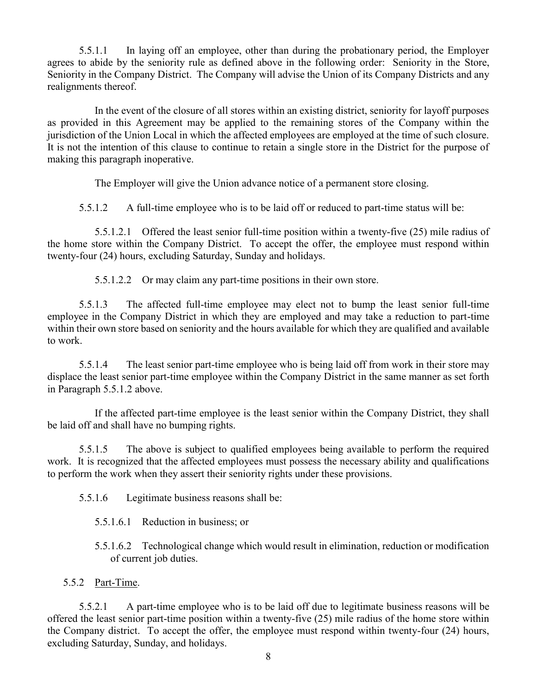5.5.1.1 In laying off an employee, other than during the probationary period, the Employer agrees to abide by the seniority rule as defined above in the following order: Seniority in the Store, Seniority in the Company District. The Company will advise the Union of its Company Districts and any realignments thereof.

In the event of the closure of all stores within an existing district, seniority for layoff purposes as provided in this Agreement may be applied to the remaining stores of the Company within the jurisdiction of the Union Local in which the affected employees are employed at the time of such closure. It is not the intention of this clause to continue to retain a single store in the District for the purpose of making this paragraph inoperative.

The Employer will give the Union advance notice of a permanent store closing.

5.5.1.2 A full-time employee who is to be laid off or reduced to part-time status will be:

5.5.1.2.1 Offered the least senior full-time position within a twenty-five (25) mile radius of the home store within the Company District. To accept the offer, the employee must respond within twenty-four (24) hours, excluding Saturday, Sunday and holidays.

5.5.1.2.2 Or may claim any part-time positions in their own store.

5.5.1.3 The affected full-time employee may elect not to bump the least senior full-time employee in the Company District in which they are employed and may take a reduction to part-time within their own store based on seniority and the hours available for which they are qualified and available to work.

5.5.1.4 The least senior part-time employee who is being laid off from work in their store may displace the least senior part-time employee within the Company District in the same manner as set forth in Paragraph 5.5.1.2 above.

If the affected part-time employee is the least senior within the Company District, they shall be laid off and shall have no bumping rights.

5.5.1.5 The above is subject to qualified employees being available to perform the required work. It is recognized that the affected employees must possess the necessary ability and qualifications to perform the work when they assert their seniority rights under these provisions.

5.5.1.6 Legitimate business reasons shall be:

5.5.1.6.1 Reduction in business; or

- 5.5.1.6.2 Technological change which would result in elimination, reduction or modification of current job duties.
- 5.5.2 Part-Time.

5.5.2.1 A part-time employee who is to be laid off due to legitimate business reasons will be offered the least senior part-time position within a twenty-five (25) mile radius of the home store within the Company district. To accept the offer, the employee must respond within twenty-four (24) hours, excluding Saturday, Sunday, and holidays.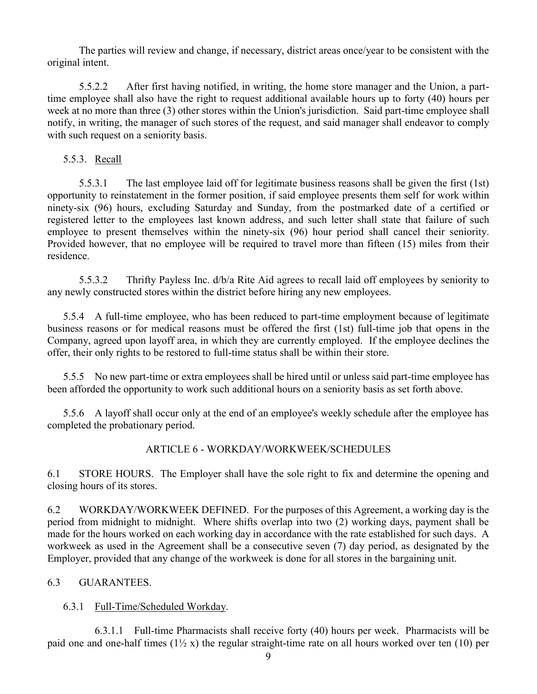The parties will review and change, if necessary, district areas once/year to be consistent with the original intent.

5.5.2.2 After first having notified, in writing, the home store manager and the Union, a parttime employee shall also have the right to request additional available hours up to forty (40) hours per week at no more than three (3) other stores within the Union's jurisdiction. Said part-time employee shall notify, in writing, the manager of such stores of the request, and said manager shall endeavor to comply with such request on a seniority basis.

## 5.5.3. Recall

5.5.3.1 The last employee laid off for legitimate business reasons shall be given the first (1st) opportunity to reinstatement in the former position, if said employee presents them self for work within ninety-six (96) hours, excluding Saturday and Sunday, from the postmarked date of a certified or registered letter to the employees last known address, and such letter shall state that failure of such employee to present themselves within the ninety-six (96) hour period shall cancel their seniority. Provided however, that no employee will be required to travel more than fifteen (15) miles from their residence.

5.5.3.2 Thrifty Payless Inc. d/b/a Rite Aid agrees to recall laid off employees by seniority to any newly constructed stores within the district before hiring any new employees.

5.5.4 A full-time employee, who has been reduced to part-time employment because of legitimate business reasons or for medical reasons must be offered the first (1st) full-time job that opens in the Company, agreed upon layoff area, in which they are currently employed. If the employee declines the offer, their only rights to be restored to full-time status shall be within their store.

5.5.5 No new part-time or extra employees shall be hired until or unless said part-time employee has been afforded the opportunity to work such additional hours on a seniority basis as set forth above.

5.5.6 A layoff shall occur only at the end of an employee's weekly schedule after the employee has completed the probationary period.

## ARTICLE 6 - WORKDAY/WORKWEEK/SCHEDULES

6.1 STORE HOURS. The Employer shall have the sole right to fix and determine the opening and closing hours of its stores.

6.2 WORKDAY/WORKWEEK DEFINED. For the purposes of this Agreement, a working day is the period from midnight to midnight. Where shifts overlap into two (2) working days, payment shall be made for the hours worked on each working day in accordance with the rate established for such days. A workweek as used in the Agreement shall be a consecutive seven (7) day period, as designated by the Employer, provided that any change of the workweek is done for all stores in the bargaining unit.

## 6.3 GUARANTEES.

## 6.3.1 Full-Time/Scheduled Workday.

6.3.1.1 Full-time Pharmacists shall receive forty (40) hours per week. Pharmacists will be paid one and one-half times  $(1\frac{1}{2}x)$  the regular straight-time rate on all hours worked over ten (10) per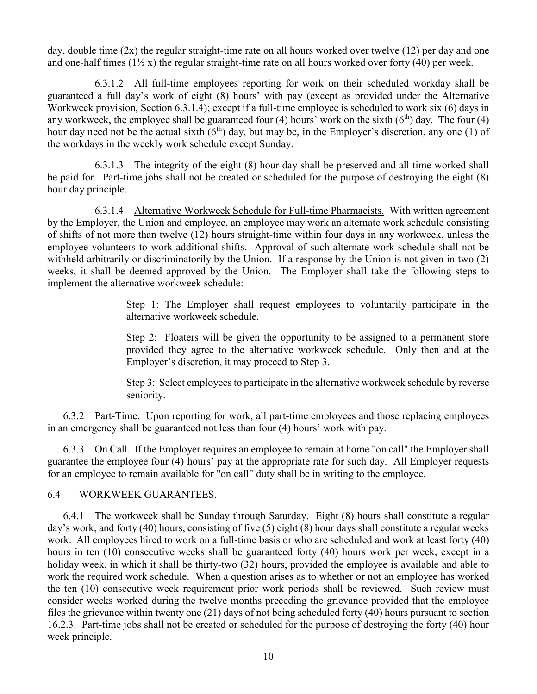day, double time  $(2x)$  the regular straight-time rate on all hours worked over twelve  $(12)$  per day and one and one-half times  $(1\frac{1}{2}x)$  the regular straight-time rate on all hours worked over forty (40) per week.

6.3.1.2 All full-time employees reporting for work on their scheduled workday shall be guaranteed a full day's work of eight (8) hours' with pay (except as provided under the Alternative Workweek provision, Section 6.3.1.4); except if a full-time employee is scheduled to work six (6) days in any workweek, the employee shall be guaranteed four (4) hours' work on the sixth  $(6<sup>th</sup>)$  day. The four (4) hour day need not be the actual sixth  $(6<sup>th</sup>)$  day, but may be, in the Employer's discretion, any one (1) of the workdays in the weekly work schedule except Sunday.

6.3.1.3 The integrity of the eight (8) hour day shall be preserved and all time worked shall be paid for. Part-time jobs shall not be created or scheduled for the purpose of destroying the eight (8) hour day principle.

6.3.1.4 Alternative Workweek Schedule for Full-time Pharmacists. With written agreement by the Employer, the Union and employee, an employee may work an alternate work schedule consisting of shifts of not more than twelve (12) hours straight-time within four days in any workweek, unless the employee volunteers to work additional shifts. Approval of such alternate work schedule shall not be withheld arbitrarily or discriminatorily by the Union. If a response by the Union is not given in two (2) weeks, it shall be deemed approved by the Union. The Employer shall take the following steps to implement the alternative workweek schedule:

> Step 1: The Employer shall request employees to voluntarily participate in the alternative workweek schedule.

> Step 2: Floaters will be given the opportunity to be assigned to a permanent store provided they agree to the alternative workweek schedule. Only then and at the Employer's discretion, it may proceed to Step 3.

> Step 3: Select employees to participate in the alternative workweek schedule by reverse seniority.

6.3.2 Part-Time. Upon reporting for work, all part-time employees and those replacing employees in an emergency shall be guaranteed not less than four (4) hours' work with pay.

6.3.3 On Call. If the Employer requires an employee to remain at home "on call" the Employer shall guarantee the employee four (4) hours' pay at the appropriate rate for such day. All Employer requests for an employee to remain available for "on call" duty shall be in writing to the employee.

#### 6.4 WORKWEEK GUARANTEES.

6.4.1 The workweek shall be Sunday through Saturday. Eight (8) hours shall constitute a regular day's work, and forty (40) hours, consisting of five (5) eight (8) hour days shall constitute a regular weeks work. All employees hired to work on a full-time basis or who are scheduled and work at least forty (40) hours in ten (10) consecutive weeks shall be guaranteed forty (40) hours work per week, except in a holiday week, in which it shall be thirty-two (32) hours, provided the employee is available and able to work the required work schedule. When a question arises as to whether or not an employee has worked the ten (10) consecutive week requirement prior work periods shall be reviewed. Such review must consider weeks worked during the twelve months preceding the grievance provided that the employee files the grievance within twenty one (21) days of not being scheduled forty (40) hours pursuant to section 16.2.3. Part-time jobs shall not be created or scheduled for the purpose of destroying the forty (40) hour week principle.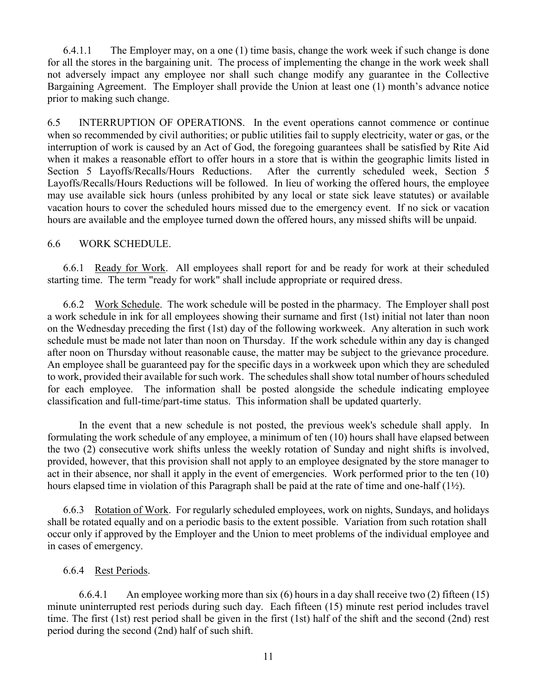6.4.1.1 The Employer may, on a one (1) time basis, change the work week if such change is done for all the stores in the bargaining unit. The process of implementing the change in the work week shall not adversely impact any employee nor shall such change modify any guarantee in the Collective Bargaining Agreement. The Employer shall provide the Union at least one (1) month's advance notice prior to making such change.

6.5 INTERRUPTION OF OPERATIONS. In the event operations cannot commence or continue when so recommended by civil authorities; or public utilities fail to supply electricity, water or gas, or the interruption of work is caused by an Act of God, the foregoing guarantees shall be satisfied by Rite Aid when it makes a reasonable effort to offer hours in a store that is within the geographic limits listed in Section 5 Layoffs/Recalls/Hours Reductions. After the currently scheduled week, Section 5 Layoffs/Recalls/Hours Reductions will be followed. In lieu of working the offered hours, the employee may use available sick hours (unless prohibited by any local or state sick leave statutes) or available vacation hours to cover the scheduled hours missed due to the emergency event. If no sick or vacation hours are available and the employee turned down the offered hours, any missed shifts will be unpaid.

#### 6.6 WORK SCHEDULE.

6.6.1 Ready for Work. All employees shall report for and be ready for work at their scheduled starting time. The term "ready for work" shall include appropriate or required dress.

6.6.2 Work Schedule. The work schedule will be posted in the pharmacy. The Employer shall post a work schedule in ink for all employees showing their surname and first (1st) initial not later than noon on the Wednesday preceding the first (1st) day of the following workweek. Any alteration in such work schedule must be made not later than noon on Thursday. If the work schedule within any day is changed after noon on Thursday without reasonable cause, the matter may be subject to the grievance procedure. An employee shall be guaranteed pay for the specific days in a workweek upon which they are scheduled to work, provided their available for such work. The schedules shall show total number of hours scheduled for each employee. The information shall be posted alongside the schedule indicating employee classification and full-time/part-time status. This information shall be updated quarterly.

In the event that a new schedule is not posted, the previous week's schedule shall apply. In formulating the work schedule of any employee, a minimum of ten (10) hours shall have elapsed between the two (2) consecutive work shifts unless the weekly rotation of Sunday and night shifts is involved, provided, however, that this provision shall not apply to an employee designated by the store manager to act in their absence, nor shall it apply in the event of emergencies. Work performed prior to the ten (10) hours elapsed time in violation of this Paragraph shall be paid at the rate of time and one-half (1½).

6.6.3 Rotation of Work. For regularly scheduled employees, work on nights, Sundays, and holidays shall be rotated equally and on a periodic basis to the extent possible. Variation from such rotation shall occur only if approved by the Employer and the Union to meet problems of the individual employee and in cases of emergency.

#### 6.6.4 Rest Periods.

6.6.4.1 An employee working more than six (6) hours in a day shall receive two (2) fifteen (15) minute uninterrupted rest periods during such day. Each fifteen (15) minute rest period includes travel time. The first (1st) rest period shall be given in the first (1st) half of the shift and the second (2nd) rest period during the second (2nd) half of such shift.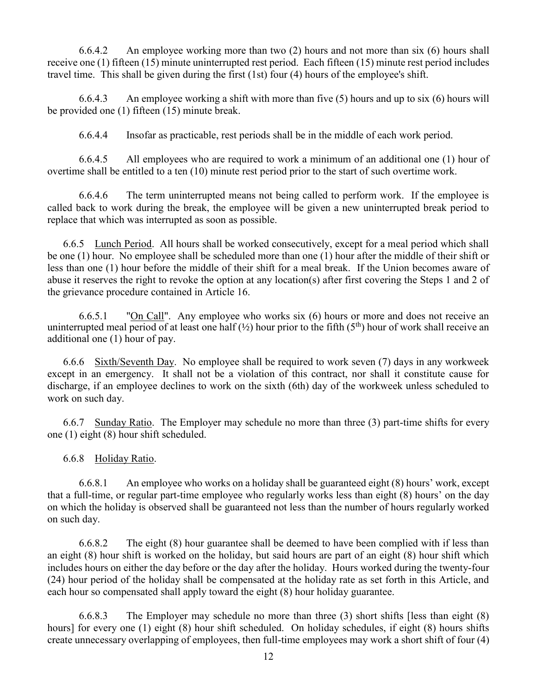6.6.4.2 An employee working more than two (2) hours and not more than six (6) hours shall receive one (1) fifteen (15) minute uninterrupted rest period. Each fifteen (15) minute rest period includes travel time. This shall be given during the first (1st) four (4) hours of the employee's shift.

6.6.4.3 An employee working a shift with more than five (5) hours and up to six (6) hours will be provided one (1) fifteen (15) minute break.

6.6.4.4 Insofar as practicable, rest periods shall be in the middle of each work period.

6.6.4.5 All employees who are required to work a minimum of an additional one (1) hour of overtime shall be entitled to a ten (10) minute rest period prior to the start of such overtime work.

6.6.4.6 The term uninterrupted means not being called to perform work. If the employee is called back to work during the break, the employee will be given a new uninterrupted break period to replace that which was interrupted as soon as possible.

6.6.5 Lunch Period. All hours shall be worked consecutively, except for a meal period which shall be one (1) hour. No employee shall be scheduled more than one (1) hour after the middle of their shift or less than one (1) hour before the middle of their shift for a meal break. If the Union becomes aware of abuse it reserves the right to revoke the option at any location(s) after first covering the Steps 1 and 2 of the grievance procedure contained in Article 16.

6.6.5.1 "On Call". Any employee who works six (6) hours or more and does not receive an uninterrupted meal period of at least one half  $(\frac{1}{2})$  hour prior to the fifth  $(5^{\text{th}})$  hour of work shall receive an additional one (1) hour of pay.

6.6.6 Sixth/Seventh Day. No employee shall be required to work seven (7) days in any workweek except in an emergency. It shall not be a violation of this contract, nor shall it constitute cause for discharge, if an employee declines to work on the sixth (6th) day of the workweek unless scheduled to work on such day.

6.6.7 Sunday Ratio. The Employer may schedule no more than three (3) part-time shifts for every one (1) eight (8) hour shift scheduled.

6.6.8 Holiday Ratio.

6.6.8.1 An employee who works on a holiday shall be guaranteed eight (8) hours' work, except that a full-time, or regular part-time employee who regularly works less than eight (8) hours' on the day on which the holiday is observed shall be guaranteed not less than the number of hours regularly worked on such day.

6.6.8.2 The eight (8) hour guarantee shall be deemed to have been complied with if less than an eight (8) hour shift is worked on the holiday, but said hours are part of an eight (8) hour shift which includes hours on either the day before or the day after the holiday. Hours worked during the twenty-four (24) hour period of the holiday shall be compensated at the holiday rate as set forth in this Article, and each hour so compensated shall apply toward the eight (8) hour holiday guarantee.

6.6.8.3 The Employer may schedule no more than three (3) short shifts [less than eight (8) hours] for every one (1) eight (8) hour shift scheduled. On holiday schedules, if eight (8) hours shifts create unnecessary overlapping of employees, then full-time employees may work a short shift of four (4)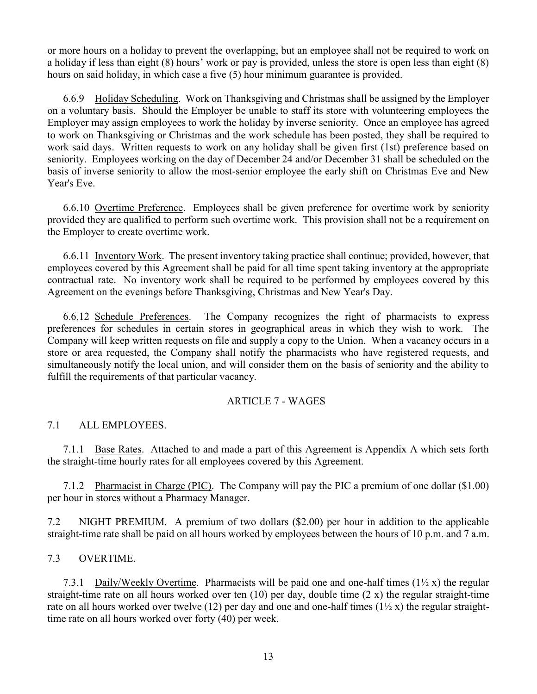or more hours on a holiday to prevent the overlapping, but an employee shall not be required to work on a holiday if less than eight (8) hours' work or pay is provided, unless the store is open less than eight (8) hours on said holiday, in which case a five (5) hour minimum guarantee is provided.

6.6.9 Holiday Scheduling. Work on Thanksgiving and Christmas shall be assigned by the Employer on a voluntary basis. Should the Employer be unable to staff its store with volunteering employees the Employer may assign employees to work the holiday by inverse seniority. Once an employee has agreed to work on Thanksgiving or Christmas and the work schedule has been posted, they shall be required to work said days. Written requests to work on any holiday shall be given first (1st) preference based on seniority. Employees working on the day of December 24 and/or December 31 shall be scheduled on the basis of inverse seniority to allow the most-senior employee the early shift on Christmas Eve and New Year's Eve.

6.6.10 Overtime Preference. Employees shall be given preference for overtime work by seniority provided they are qualified to perform such overtime work. This provision shall not be a requirement on the Employer to create overtime work.

6.6.11 Inventory Work. The present inventory taking practice shall continue; provided, however, that employees covered by this Agreement shall be paid for all time spent taking inventory at the appropriate contractual rate. No inventory work shall be required to be performed by employees covered by this Agreement on the evenings before Thanksgiving, Christmas and New Year's Day.

6.6.12 Schedule Preferences. The Company recognizes the right of pharmacists to express preferences for schedules in certain stores in geographical areas in which they wish to work. The Company will keep written requests on file and supply a copy to the Union. When a vacancy occurs in a store or area requested, the Company shall notify the pharmacists who have registered requests, and simultaneously notify the local union, and will consider them on the basis of seniority and the ability to fulfill the requirements of that particular vacancy.

## ARTICLE 7 - WAGES

## 7.1 ALL EMPLOYEES.

7.1.1 Base Rates. Attached to and made a part of this Agreement is Appendix A which sets forth the straight-time hourly rates for all employees covered by this Agreement.

7.1.2 Pharmacist in Charge (PIC). The Company will pay the PIC a premium of one dollar (\$1.00) per hour in stores without a Pharmacy Manager.

7.2 NIGHT PREMIUM. A premium of two dollars (\$2.00) per hour in addition to the applicable straight-time rate shall be paid on all hours worked by employees between the hours of 10 p.m. and 7 a.m.

#### 7.3 OVERTIME.

7.3.1 Daily/Weekly Overtime. Pharmacists will be paid one and one-half times  $(1\frac{1}{2}x)$  the regular straight-time rate on all hours worked over ten  $(10)$  per day, double time  $(2 x)$  the regular straight-time rate on all hours worked over twelve (12) per day and one and one-half times ( $1\frac{1}{2}x$ ) the regular straighttime rate on all hours worked over forty (40) per week.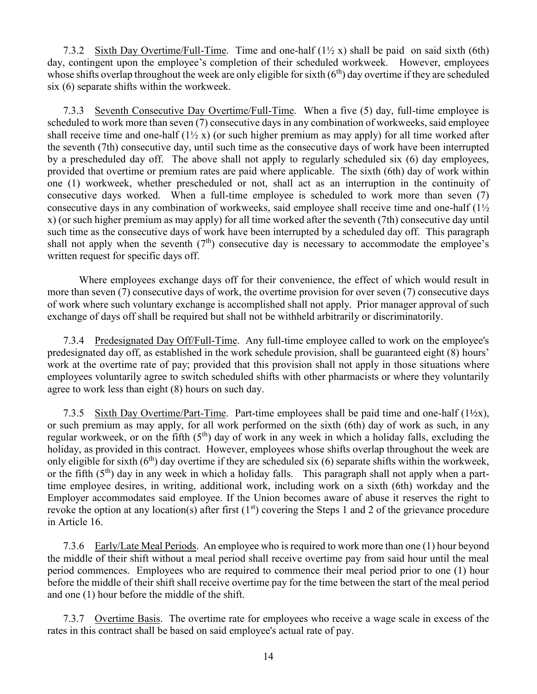7.3.2 Sixth Day Overtime/Full-Time. Time and one-half (1½ x) shall be paid on said sixth (6th) day, contingent upon the employee's completion of their scheduled workweek. However, employees whose shifts overlap throughout the week are only eligible for sixth  $(6<sup>th</sup>)$  day overtime if they are scheduled six (6) separate shifts within the workweek.

7.3.3 Seventh Consecutive Day Overtime/Full-Time. When a five (5) day, full-time employee is scheduled to work more than seven (7) consecutive days in any combination of workweeks, said employee shall receive time and one-half  $(1\frac{1}{2}x)$  (or such higher premium as may apply) for all time worked after the seventh (7th) consecutive day, until such time as the consecutive days of work have been interrupted by a prescheduled day off. The above shall not apply to regularly scheduled six (6) day employees, provided that overtime or premium rates are paid where applicable. The sixth (6th) day of work within one (1) workweek, whether prescheduled or not, shall act as an interruption in the continuity of consecutive days worked. When a full-time employee is scheduled to work more than seven (7) consecutive days in any combination of workweeks, said employee shall receive time and one-half (1½ x) (or such higher premium as may apply) for all time worked after the seventh (7th) consecutive day until such time as the consecutive days of work have been interrupted by a scheduled day off. This paragraph shall not apply when the seventh  $(7<sup>th</sup>)$  consecutive day is necessary to accommodate the employee's written request for specific days off.

Where employees exchange days off for their convenience, the effect of which would result in more than seven (7) consecutive days of work, the overtime provision for over seven (7) consecutive days of work where such voluntary exchange is accomplished shall not apply. Prior manager approval of such exchange of days off shall be required but shall not be withheld arbitrarily or discriminatorily.

7.3.4 Predesignated Day Off/Full-Time. Any full-time employee called to work on the employee's predesignated day off, as established in the work schedule provision, shall be guaranteed eight (8) hours' work at the overtime rate of pay; provided that this provision shall not apply in those situations where employees voluntarily agree to switch scheduled shifts with other pharmacists or where they voluntarily agree to work less than eight (8) hours on such day.

7.3.5 Sixth Day Overtime/Part-Time. Part-time employees shall be paid time and one-half  $(1\frac{1}{2}x)$ , or such premium as may apply, for all work performed on the sixth (6th) day of work as such, in any regular workweek, or on the fifth  $(5<sup>th</sup>)$  day of work in any week in which a holiday falls, excluding the holiday, as provided in this contract. However, employees whose shifts overlap throughout the week are only eligible for sixth  $(6<sup>th</sup>)$  day overtime if they are scheduled six  $(6)$  separate shifts within the workweek, or the fifth  $(5<sup>th</sup>)$  day in any week in which a holiday falls. This paragraph shall not apply when a parttime employee desires, in writing, additional work, including work on a sixth (6th) workday and the Employer accommodates said employee. If the Union becomes aware of abuse it reserves the right to revoke the option at any location(s) after first  $(1<sup>st</sup>)$  covering the Steps 1 and 2 of the grievance procedure in Article 16.

7.3.6 Early/Late Meal Periods. An employee who is required to work more than one (1) hour beyond the middle of their shift without a meal period shall receive overtime pay from said hour until the meal period commences. Employees who are required to commence their meal period prior to one (1) hour before the middle of their shift shall receive overtime pay for the time between the start of the meal period and one (1) hour before the middle of the shift.

7.3.7 Overtime Basis. The overtime rate for employees who receive a wage scale in excess of the rates in this contract shall be based on said employee's actual rate of pay.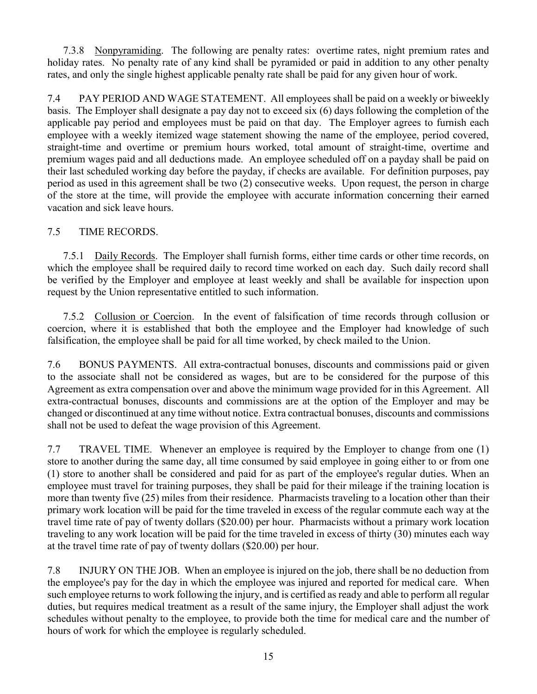7.3.8 Nonpyramiding. The following are penalty rates: overtime rates, night premium rates and holiday rates. No penalty rate of any kind shall be pyramided or paid in addition to any other penalty rates, and only the single highest applicable penalty rate shall be paid for any given hour of work.

7.4 PAY PERIOD AND WAGE STATEMENT. All employees shall be paid on a weekly or biweekly basis. The Employer shall designate a pay day not to exceed six (6) days following the completion of the applicable pay period and employees must be paid on that day. The Employer agrees to furnish each employee with a weekly itemized wage statement showing the name of the employee, period covered, straight-time and overtime or premium hours worked, total amount of straight-time, overtime and premium wages paid and all deductions made. An employee scheduled off on a payday shall be paid on their last scheduled working day before the payday, if checks are available. For definition purposes, pay period as used in this agreement shall be two (2) consecutive weeks. Upon request, the person in charge of the store at the time, will provide the employee with accurate information concerning their earned vacation and sick leave hours.

# 7.5 TIME RECORDS.

7.5.1 Daily Records. The Employer shall furnish forms, either time cards or other time records, on which the employee shall be required daily to record time worked on each day. Such daily record shall be verified by the Employer and employee at least weekly and shall be available for inspection upon request by the Union representative entitled to such information.

7.5.2 Collusion or Coercion. In the event of falsification of time records through collusion or coercion, where it is established that both the employee and the Employer had knowledge of such falsification, the employee shall be paid for all time worked, by check mailed to the Union.

7.6 BONUS PAYMENTS. All extra-contractual bonuses, discounts and commissions paid or given to the associate shall not be considered as wages, but are to be considered for the purpose of this Agreement as extra compensation over and above the minimum wage provided for in this Agreement. All extra-contractual bonuses, discounts and commissions are at the option of the Employer and may be changed or discontinued at any time without notice. Extra contractual bonuses, discounts and commissions shall not be used to defeat the wage provision of this Agreement.

7.7 TRAVEL TIME. Whenever an employee is required by the Employer to change from one (1) store to another during the same day, all time consumed by said employee in going either to or from one (1) store to another shall be considered and paid for as part of the employee's regular duties. When an employee must travel for training purposes, they shall be paid for their mileage if the training location is more than twenty five (25) miles from their residence. Pharmacists traveling to a location other than their primary work location will be paid for the time traveled in excess of the regular commute each way at the travel time rate of pay of twenty dollars (\$20.00) per hour. Pharmacists without a primary work location traveling to any work location will be paid for the time traveled in excess of thirty (30) minutes each way at the travel time rate of pay of twenty dollars (\$20.00) per hour.

7.8 INJURY ON THE JOB. When an employee is injured on the job, there shall be no deduction from the employee's pay for the day in which the employee was injured and reported for medical care. When such employee returns to work following the injury, and is certified as ready and able to perform all regular duties, but requires medical treatment as a result of the same injury, the Employer shall adjust the work schedules without penalty to the employee, to provide both the time for medical care and the number of hours of work for which the employee is regularly scheduled.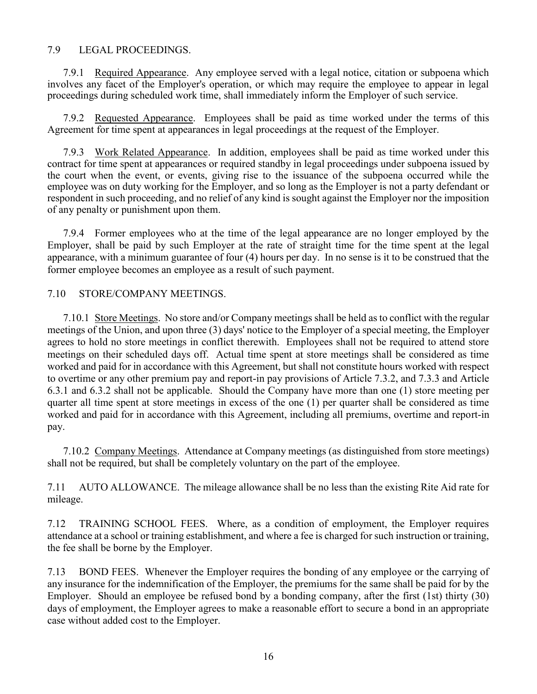#### 7.9 LEGAL PROCEEDINGS.

7.9.1 Required Appearance. Any employee served with a legal notice, citation or subpoena which involves any facet of the Employer's operation, or which may require the employee to appear in legal proceedings during scheduled work time, shall immediately inform the Employer of such service.

7.9.2 Requested Appearance. Employees shall be paid as time worked under the terms of this Agreement for time spent at appearances in legal proceedings at the request of the Employer.

7.9.3 Work Related Appearance. In addition, employees shall be paid as time worked under this contract for time spent at appearances or required standby in legal proceedings under subpoena issued by the court when the event, or events, giving rise to the issuance of the subpoena occurred while the employee was on duty working for the Employer, and so long as the Employer is not a party defendant or respondent in such proceeding, and no relief of any kind is sought against the Employer nor the imposition of any penalty or punishment upon them.

7.9.4 Former employees who at the time of the legal appearance are no longer employed by the Employer, shall be paid by such Employer at the rate of straight time for the time spent at the legal appearance, with a minimum guarantee of four (4) hours per day. In no sense is it to be construed that the former employee becomes an employee as a result of such payment.

#### 7.10 STORE/COMPANY MEETINGS.

7.10.1 Store Meetings. No store and/or Company meetings shall be held as to conflict with the regular meetings of the Union, and upon three (3) days' notice to the Employer of a special meeting, the Employer agrees to hold no store meetings in conflict therewith. Employees shall not be required to attend store meetings on their scheduled days off. Actual time spent at store meetings shall be considered as time worked and paid for in accordance with this Agreement, but shall not constitute hours worked with respect to overtime or any other premium pay and report-in pay provisions of Article 7.3.2, and 7.3.3 and Article 6.3.1 and 6.3.2 shall not be applicable. Should the Company have more than one (1) store meeting per quarter all time spent at store meetings in excess of the one (1) per quarter shall be considered as time worked and paid for in accordance with this Agreement, including all premiums, overtime and report-in pay.

7.10.2 Company Meetings. Attendance at Company meetings (as distinguished from store meetings) shall not be required, but shall be completely voluntary on the part of the employee.

7.11 AUTO ALLOWANCE. The mileage allowance shall be no less than the existing Rite Aid rate for mileage.

7.12 TRAINING SCHOOL FEES. Where, as a condition of employment, the Employer requires attendance at a school or training establishment, and where a fee is charged for such instruction or training, the fee shall be borne by the Employer.

7.13 BOND FEES. Whenever the Employer requires the bonding of any employee or the carrying of any insurance for the indemnification of the Employer, the premiums for the same shall be paid for by the Employer. Should an employee be refused bond by a bonding company, after the first (1st) thirty (30) days of employment, the Employer agrees to make a reasonable effort to secure a bond in an appropriate case without added cost to the Employer.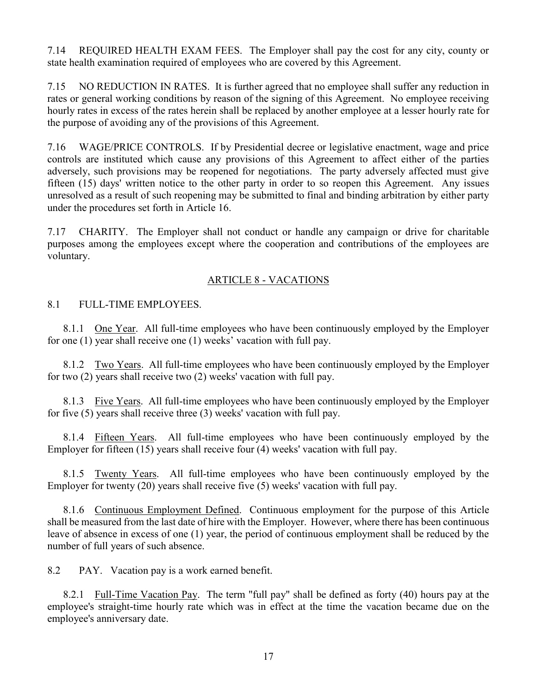7.14 REQUIRED HEALTH EXAM FEES. The Employer shall pay the cost for any city, county or state health examination required of employees who are covered by this Agreement.

7.15 NO REDUCTION IN RATES. It is further agreed that no employee shall suffer any reduction in rates or general working conditions by reason of the signing of this Agreement. No employee receiving hourly rates in excess of the rates herein shall be replaced by another employee at a lesser hourly rate for the purpose of avoiding any of the provisions of this Agreement.

7.16 WAGE/PRICE CONTROLS. If by Presidential decree or legislative enactment, wage and price controls are instituted which cause any provisions of this Agreement to affect either of the parties adversely, such provisions may be reopened for negotiations. The party adversely affected must give fifteen (15) days' written notice to the other party in order to so reopen this Agreement. Any issues unresolved as a result of such reopening may be submitted to final and binding arbitration by either party under the procedures set forth in Article 16.

7.17 CHARITY. The Employer shall not conduct or handle any campaign or drive for charitable purposes among the employees except where the cooperation and contributions of the employees are voluntary.

# ARTICLE 8 - VACATIONS

## 8.1 FULL-TIME EMPLOYEES.

8.1.1 One Year. All full-time employees who have been continuously employed by the Employer for one (1) year shall receive one (1) weeks' vacation with full pay.

8.1.2 Two Years. All full-time employees who have been continuously employed by the Employer for two (2) years shall receive two (2) weeks' vacation with full pay.

8.1.3 Five Years. All full-time employees who have been continuously employed by the Employer for five (5) years shall receive three (3) weeks' vacation with full pay.

8.1.4 Fifteen Years. All full-time employees who have been continuously employed by the Employer for fifteen (15) years shall receive four (4) weeks' vacation with full pay.

8.1.5 Twenty Years. All full-time employees who have been continuously employed by the Employer for twenty (20) years shall receive five (5) weeks' vacation with full pay.

8.1.6 Continuous Employment Defined. Continuous employment for the purpose of this Article shall be measured from the last date of hire with the Employer. However, where there has been continuous leave of absence in excess of one (1) year, the period of continuous employment shall be reduced by the number of full years of such absence.

8.2 PAY. Vacation pay is a work earned benefit.

8.2.1 Full-Time Vacation Pay. The term "full pay" shall be defined as forty (40) hours pay at the employee's straight-time hourly rate which was in effect at the time the vacation became due on the employee's anniversary date.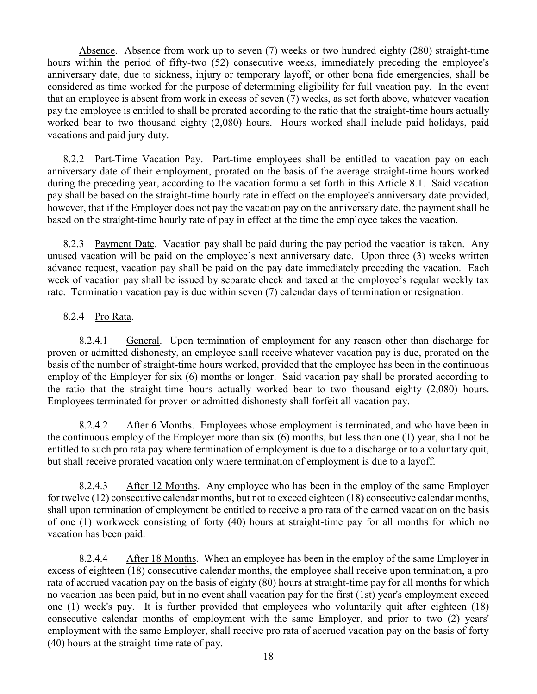Absence. Absence from work up to seven (7) weeks or two hundred eighty (280) straight-time hours within the period of fifty-two (52) consecutive weeks, immediately preceding the employee's anniversary date, due to sickness, injury or temporary layoff, or other bona fide emergencies, shall be considered as time worked for the purpose of determining eligibility for full vacation pay. In the event that an employee is absent from work in excess of seven (7) weeks, as set forth above, whatever vacation pay the employee is entitled to shall be prorated according to the ratio that the straight-time hours actually worked bear to two thousand eighty (2,080) hours. Hours worked shall include paid holidays, paid vacations and paid jury duty.

8.2.2 Part-Time Vacation Pay. Part-time employees shall be entitled to vacation pay on each anniversary date of their employment, prorated on the basis of the average straight-time hours worked during the preceding year, according to the vacation formula set forth in this Article 8.1. Said vacation pay shall be based on the straight-time hourly rate in effect on the employee's anniversary date provided, however, that if the Employer does not pay the vacation pay on the anniversary date, the payment shall be based on the straight-time hourly rate of pay in effect at the time the employee takes the vacation.

8.2.3 Payment Date. Vacation pay shall be paid during the pay period the vacation is taken. Any unused vacation will be paid on the employee's next anniversary date. Upon three (3) weeks written advance request, vacation pay shall be paid on the pay date immediately preceding the vacation. Each week of vacation pay shall be issued by separate check and taxed at the employee's regular weekly tax rate. Termination vacation pay is due within seven (7) calendar days of termination or resignation.

# 8.2.4 Pro Rata.

8.2.4.1 General. Upon termination of employment for any reason other than discharge for proven or admitted dishonesty, an employee shall receive whatever vacation pay is due, prorated on the basis of the number of straight-time hours worked, provided that the employee has been in the continuous employ of the Employer for six (6) months or longer. Said vacation pay shall be prorated according to the ratio that the straight-time hours actually worked bear to two thousand eighty (2,080) hours. Employees terminated for proven or admitted dishonesty shall forfeit all vacation pay.

8.2.4.2 After 6 Months. Employees whose employment is terminated, and who have been in the continuous employ of the Employer more than six (6) months, but less than one (1) year, shall not be entitled to such pro rata pay where termination of employment is due to a discharge or to a voluntary quit, but shall receive prorated vacation only where termination of employment is due to a layoff.

8.2.4.3 After 12 Months. Any employee who has been in the employ of the same Employer for twelve (12) consecutive calendar months, but not to exceed eighteen (18) consecutive calendar months, shall upon termination of employment be entitled to receive a pro rata of the earned vacation on the basis of one (1) workweek consisting of forty (40) hours at straight-time pay for all months for which no vacation has been paid.

8.2.4.4 After 18 Months. When an employee has been in the employ of the same Employer in excess of eighteen (18) consecutive calendar months, the employee shall receive upon termination, a pro rata of accrued vacation pay on the basis of eighty (80) hours at straight-time pay for all months for which no vacation has been paid, but in no event shall vacation pay for the first (1st) year's employment exceed one (1) week's pay. It is further provided that employees who voluntarily quit after eighteen (18) consecutive calendar months of employment with the same Employer, and prior to two (2) years' employment with the same Employer, shall receive pro rata of accrued vacation pay on the basis of forty (40) hours at the straight-time rate of pay.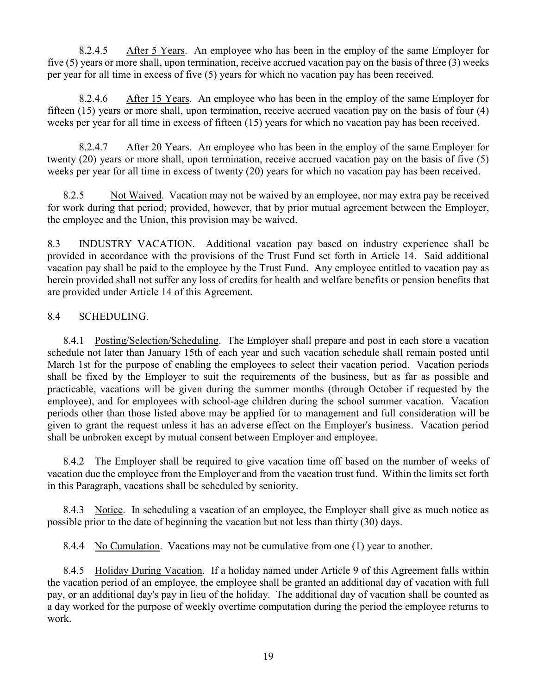8.2.4.5 After 5 Years. An employee who has been in the employ of the same Employer for five (5) years or more shall, upon termination, receive accrued vacation pay on the basis of three (3) weeks per year for all time in excess of five (5) years for which no vacation pay has been received.

8.2.4.6 After 15 Years. An employee who has been in the employ of the same Employer for fifteen (15) years or more shall, upon termination, receive accrued vacation pay on the basis of four (4) weeks per year for all time in excess of fifteen (15) years for which no vacation pay has been received.

8.2.4.7 After 20 Years. An employee who has been in the employ of the same Employer for twenty (20) years or more shall, upon termination, receive accrued vacation pay on the basis of five (5) weeks per year for all time in excess of twenty (20) years for which no vacation pay has been received.

8.2.5 Not Waived. Vacation may not be waived by an employee, nor may extra pay be received for work during that period; provided, however, that by prior mutual agreement between the Employer, the employee and the Union, this provision may be waived.

8.3 INDUSTRY VACATION. Additional vacation pay based on industry experience shall be provided in accordance with the provisions of the Trust Fund set forth in Article 14. Said additional vacation pay shall be paid to the employee by the Trust Fund. Any employee entitled to vacation pay as herein provided shall not suffer any loss of credits for health and welfare benefits or pension benefits that are provided under Article 14 of this Agreement.

## 8.4 SCHEDULING.

8.4.1 Posting/Selection/Scheduling. The Employer shall prepare and post in each store a vacation schedule not later than January 15th of each year and such vacation schedule shall remain posted until March 1st for the purpose of enabling the employees to select their vacation period. Vacation periods shall be fixed by the Employer to suit the requirements of the business, but as far as possible and practicable, vacations will be given during the summer months (through October if requested by the employee), and for employees with school-age children during the school summer vacation. Vacation periods other than those listed above may be applied for to management and full consideration will be given to grant the request unless it has an adverse effect on the Employer's business. Vacation period shall be unbroken except by mutual consent between Employer and employee.

8.4.2 The Employer shall be required to give vacation time off based on the number of weeks of vacation due the employee from the Employer and from the vacation trust fund. Within the limits set forth in this Paragraph, vacations shall be scheduled by seniority.

8.4.3 Notice. In scheduling a vacation of an employee, the Employer shall give as much notice as possible prior to the date of beginning the vacation but not less than thirty (30) days.

8.4.4 No Cumulation. Vacations may not be cumulative from one (1) year to another.

8.4.5 Holiday During Vacation. If a holiday named under Article 9 of this Agreement falls within the vacation period of an employee, the employee shall be granted an additional day of vacation with full pay, or an additional day's pay in lieu of the holiday. The additional day of vacation shall be counted as a day worked for the purpose of weekly overtime computation during the period the employee returns to work.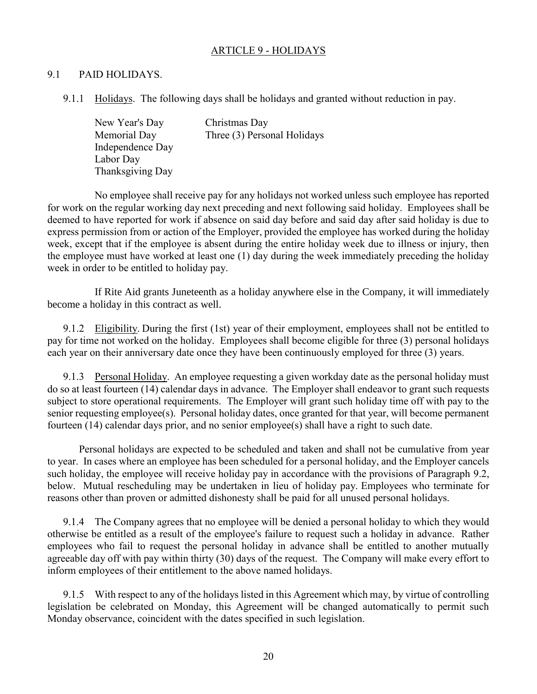#### ARTICLE 9 - HOLIDAYS

#### 9.1 PAID HOLIDAYS.

9.1.1 Holidays. The following days shall be holidays and granted without reduction in pay.

New Year's Day Christmas Day Memorial Day Three (3) Personal Holidays Independence Day Labor Day Thanksgiving Day

No employee shall receive pay for any holidays not worked unless such employee has reported for work on the regular working day next preceding and next following said holiday. Employees shall be deemed to have reported for work if absence on said day before and said day after said holiday is due to express permission from or action of the Employer, provided the employee has worked during the holiday week, except that if the employee is absent during the entire holiday week due to illness or injury, then the employee must have worked at least one (1) day during the week immediately preceding the holiday week in order to be entitled to holiday pay.

If Rite Aid grants Juneteenth as a holiday anywhere else in the Company, it will immediately become a holiday in this contract as well.

9.1.2 Eligibility. During the first (1st) year of their employment, employees shall not be entitled to pay for time not worked on the holiday. Employees shall become eligible for three (3) personal holidays each year on their anniversary date once they have been continuously employed for three (3) years.

9.1.3 Personal Holiday. An employee requesting a given workday date as the personal holiday must do so at least fourteen (14) calendar days in advance. The Employer shall endeavor to grant such requests subject to store operational requirements. The Employer will grant such holiday time off with pay to the senior requesting employee(s). Personal holiday dates, once granted for that year, will become permanent fourteen  $(14)$  calendar days prior, and no senior employee(s) shall have a right to such date.

Personal holidays are expected to be scheduled and taken and shall not be cumulative from year to year. In cases where an employee has been scheduled for a personal holiday, and the Employer cancels such holiday, the employee will receive holiday pay in accordance with the provisions of Paragraph 9.2, below. Mutual rescheduling may be undertaken in lieu of holiday pay. Employees who terminate for reasons other than proven or admitted dishonesty shall be paid for all unused personal holidays.

9.1.4 The Company agrees that no employee will be denied a personal holiday to which they would otherwise be entitled as a result of the employee's failure to request such a holiday in advance. Rather employees who fail to request the personal holiday in advance shall be entitled to another mutually agreeable day off with pay within thirty (30) days of the request. The Company will make every effort to inform employees of their entitlement to the above named holidays.

9.1.5 With respect to any of the holidays listed in this Agreement which may, by virtue of controlling legislation be celebrated on Monday, this Agreement will be changed automatically to permit such Monday observance, coincident with the dates specified in such legislation.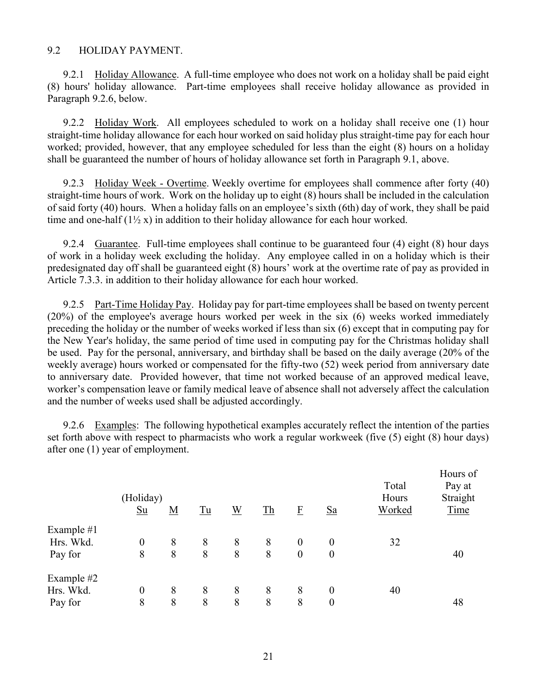#### 9.2 HOLIDAY PAYMENT.

9.2.1 Holiday Allowance. A full-time employee who does not work on a holiday shall be paid eight (8) hours' holiday allowance. Part-time employees shall receive holiday allowance as provided in Paragraph 9.2.6, below.

9.2.2 Holiday Work. All employees scheduled to work on a holiday shall receive one (1) hour straight-time holiday allowance for each hour worked on said holiday plus straight-time pay for each hour worked; provided, however, that any employee scheduled for less than the eight (8) hours on a holiday shall be guaranteed the number of hours of holiday allowance set forth in Paragraph 9.1, above.

9.2.3 Holiday Week - Overtime. Weekly overtime for employees shall commence after forty (40) straight-time hours of work. Work on the holiday up to eight (8) hours shall be included in the calculation of said forty (40) hours. When a holiday falls on an employee's sixth (6th) day of work, they shall be paid time and one-half  $(1\frac{1}{2}x)$  in addition to their holiday allowance for each hour worked.

9.2.4 Guarantee. Full-time employees shall continue to be guaranteed four (4) eight (8) hour days of work in a holiday week excluding the holiday. Any employee called in on a holiday which is their predesignated day off shall be guaranteed eight (8) hours' work at the overtime rate of pay as provided in Article 7.3.3. in addition to their holiday allowance for each hour worked.

9.2.5 Part-Time Holiday Pay. Holiday pay for part-time employees shall be based on twenty percent (20%) of the employee's average hours worked per week in the six (6) weeks worked immediately preceding the holiday or the number of weeks worked if less than six (6) except that in computing pay for the New Year's holiday, the same period of time used in computing pay for the Christmas holiday shall be used. Pay for the personal, anniversary, and birthday shall be based on the daily average (20% of the weekly average) hours worked or compensated for the fifty-two (52) week period from anniversary date to anniversary date. Provided however, that time not worked because of an approved medical leave, worker's compensation leave or family medical leave of absence shall not adversely affect the calculation and the number of weeks used shall be adjusted accordingly.

9.2.6 Examples: The following hypothetical examples accurately reflect the intention of the parties set forth above with respect to pharmacists who work a regular workweek (five (5) eight (8) hour days) after one (1) year of employment.

|            | (Holiday)<br>$Su$ | <u>M</u> | Tu | W | T <sub>h</sub> | $\underline{\mathrm{F}}$ | $S_{a}$          | Total<br>Hours<br>Worked | Hours of<br>Pay at<br>Straight<br>Time |
|------------|-------------------|----------|----|---|----------------|--------------------------|------------------|--------------------------|----------------------------------------|
| Example #1 |                   |          |    |   |                |                          |                  |                          |                                        |
| Hrs. Wkd.  | $\boldsymbol{0}$  | 8        | 8  | 8 | 8              | $\boldsymbol{0}$         | $\boldsymbol{0}$ | 32                       |                                        |
| Pay for    | 8                 | 8        | 8  | 8 | 8              | $\overline{0}$           | $\boldsymbol{0}$ |                          | 40                                     |
| Example #2 |                   |          |    |   |                |                          |                  |                          |                                        |
| Hrs. Wkd.  | $\boldsymbol{0}$  | 8        | 8  | 8 | 8              | 8                        | $\boldsymbol{0}$ | 40                       |                                        |
| Pay for    | 8                 | 8        | 8  | 8 | 8              | 8                        | $\boldsymbol{0}$ |                          | 48                                     |
|            |                   |          |    |   |                |                          |                  |                          |                                        |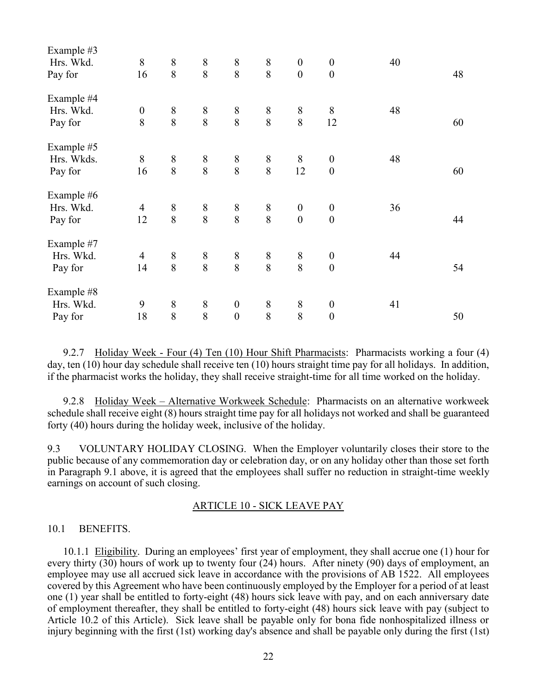| Example #3 |                  |                                       |                                       |                  |                                       |                  |                  |    |    |
|------------|------------------|---------------------------------------|---------------------------------------|------------------|---------------------------------------|------------------|------------------|----|----|
| Hrs. Wkd.  | $8\,$            | $\,$ $\,$                             | $\,$ $\,$                             | $8\,$            | $8\,$                                 | $\boldsymbol{0}$ | $\boldsymbol{0}$ | 40 |    |
| Pay for    | 16               | 8                                     | 8                                     | 8                | 8                                     | $\boldsymbol{0}$ | $\boldsymbol{0}$ |    | 48 |
| Example #4 |                  |                                       |                                       |                  |                                       |                  |                  |    |    |
| Hrs. Wkd.  | $\boldsymbol{0}$ | $\begin{array}{c} 8 \\ 8 \end{array}$ |                                       | $\,8\,$          |                                       | $\,8\,$          | $8\,$            | 48 |    |
| Pay for    | 8                |                                       | $\begin{array}{c} 8 \\ 8 \end{array}$ | 8                | $\begin{array}{c} 8 \\ 8 \end{array}$ | 8                | 12               |    | 60 |
| Example #5 |                  |                                       |                                       |                  |                                       |                  |                  |    |    |
| Hrs. Wkds. | 8                | $8\,$                                 | $\,$ $\,$                             | $8\,$            | $8\,$                                 | $8\phantom{.}$   | $\boldsymbol{0}$ | 48 |    |
| Pay for    | 16               | 8                                     | 8                                     | 8                | 8                                     | 12               | $\boldsymbol{0}$ |    | 60 |
| Example #6 |                  |                                       |                                       |                  |                                       |                  |                  |    |    |
| Hrs. Wkd.  | $\overline{4}$   | $8\,$                                 | $\boldsymbol{8}$                      | $\,8\,$          | $\,$ $\,$                             | $\boldsymbol{0}$ | $\boldsymbol{0}$ | 36 |    |
| Pay for    | 12               | 8                                     | 8                                     | 8                | 8                                     | $\boldsymbol{0}$ | $\boldsymbol{0}$ |    | 44 |
| Example #7 |                  |                                       |                                       |                  |                                       |                  |                  |    |    |
| Hrs. Wkd.  | $\overline{4}$   | $8\,$                                 | $\,$ $\,$                             | $8\,$            | $\,$ $\,$                             | $8\,$            | $\boldsymbol{0}$ | 44 |    |
| Pay for    | 14               | 8                                     | 8                                     | 8                | 8                                     | 8                | $\boldsymbol{0}$ |    | 54 |
| Example #8 |                  |                                       |                                       |                  |                                       |                  |                  |    |    |
| Hrs. Wkd.  | 9                | $8\,$                                 | $\,$ $\,$                             | $\boldsymbol{0}$ | $\,$ $\,$                             | $8\,$            | $\boldsymbol{0}$ | 41 |    |
| Pay for    | 18               | 8                                     | 8                                     | $\boldsymbol{0}$ | 8                                     | 8                | $\boldsymbol{0}$ |    | 50 |

9.2.7 Holiday Week - Four (4) Ten (10) Hour Shift Pharmacists: Pharmacists working a four (4) day, ten (10) hour day schedule shall receive ten (10) hours straight time pay for all holidays. In addition, if the pharmacist works the holiday, they shall receive straight-time for all time worked on the holiday.

9.2.8 Holiday Week – Alternative Workweek Schedule: Pharmacists on an alternative workweek schedule shall receive eight (8) hours straight time pay for all holidays not worked and shall be guaranteed forty (40) hours during the holiday week, inclusive of the holiday.

9.3 VOLUNTARY HOLIDAY CLOSING. When the Employer voluntarily closes their store to the public because of any commemoration day or celebration day, or on any holiday other than those set forth in Paragraph 9.1 above, it is agreed that the employees shall suffer no reduction in straight-time weekly earnings on account of such closing.

#### ARTICLE 10 - SICK LEAVE PAY

#### 10.1 BENEFITS.

10.1.1 Eligibility. During an employees' first year of employment, they shall accrue one (1) hour for every thirty (30) hours of work up to twenty four (24) hours. After ninety (90) days of employment, an employee may use all accrued sick leave in accordance with the provisions of AB 1522. All employees covered by this Agreement who have been continuously employed by the Employer for a period of at least one (1) year shall be entitled to forty-eight (48) hours sick leave with pay, and on each anniversary date of employment thereafter, they shall be entitled to forty-eight (48) hours sick leave with pay (subject to Article 10.2 of this Article). Sick leave shall be payable only for bona fide nonhospitalized illness or injury beginning with the first (1st) working day's absence and shall be payable only during the first (1st)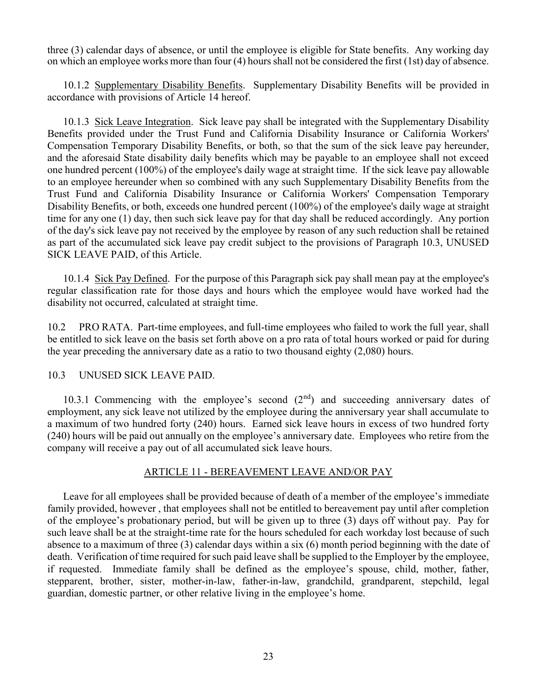three (3) calendar days of absence, or until the employee is eligible for State benefits. Any working day on which an employee works more than four (4) hours shall not be considered the first (1st) day of absence.

10.1.2 Supplementary Disability Benefits. Supplementary Disability Benefits will be provided in accordance with provisions of Article 14 hereof.

10.1.3 Sick Leave Integration. Sick leave pay shall be integrated with the Supplementary Disability Benefits provided under the Trust Fund and California Disability Insurance or California Workers' Compensation Temporary Disability Benefits, or both, so that the sum of the sick leave pay hereunder, and the aforesaid State disability daily benefits which may be payable to an employee shall not exceed one hundred percent (100%) of the employee's daily wage at straight time. If the sick leave pay allowable to an employee hereunder when so combined with any such Supplementary Disability Benefits from the Trust Fund and California Disability Insurance or California Workers' Compensation Temporary Disability Benefits, or both, exceeds one hundred percent (100%) of the employee's daily wage at straight time for any one (1) day, then such sick leave pay for that day shall be reduced accordingly. Any portion of the day's sick leave pay not received by the employee by reason of any such reduction shall be retained as part of the accumulated sick leave pay credit subject to the provisions of Paragraph 10.3, UNUSED SICK LEAVE PAID, of this Article.

10.1.4 Sick Pay Defined. For the purpose of this Paragraph sick pay shall mean pay at the employee's regular classification rate for those days and hours which the employee would have worked had the disability not occurred, calculated at straight time.

10.2 PRO RATA. Part-time employees, and full-time employees who failed to work the full year, shall be entitled to sick leave on the basis set forth above on a pro rata of total hours worked or paid for during the year preceding the anniversary date as a ratio to two thousand eighty (2,080) hours.

#### 10.3 UNUSED SICK LEAVE PAID.

10.3.1 Commencing with the employee's second  $(2<sup>nd</sup>)$  and succeeding anniversary dates of employment, any sick leave not utilized by the employee during the anniversary year shall accumulate to a maximum of two hundred forty (240) hours. Earned sick leave hours in excess of two hundred forty (240) hours will be paid out annually on the employee's anniversary date. Employees who retire from the company will receive a pay out of all accumulated sick leave hours.

#### ARTICLE 11 - BEREAVEMENT LEAVE AND/OR PAY

Leave for all employees shall be provided because of death of a member of the employee's immediate family provided, however , that employees shall not be entitled to bereavement pay until after completion of the employee's probationary period, but will be given up to three (3) days off without pay. Pay for such leave shall be at the straight-time rate for the hours scheduled for each workday lost because of such absence to a maximum of three (3) calendar days within a six (6) month period beginning with the date of death. Verification of time required for such paid leave shall be supplied to the Employer by the employee, if requested. Immediate family shall be defined as the employee's spouse, child, mother, father, stepparent, brother, sister, mother-in-law, father-in-law, grandchild, grandparent, stepchild, legal guardian, domestic partner, or other relative living in the employee's home.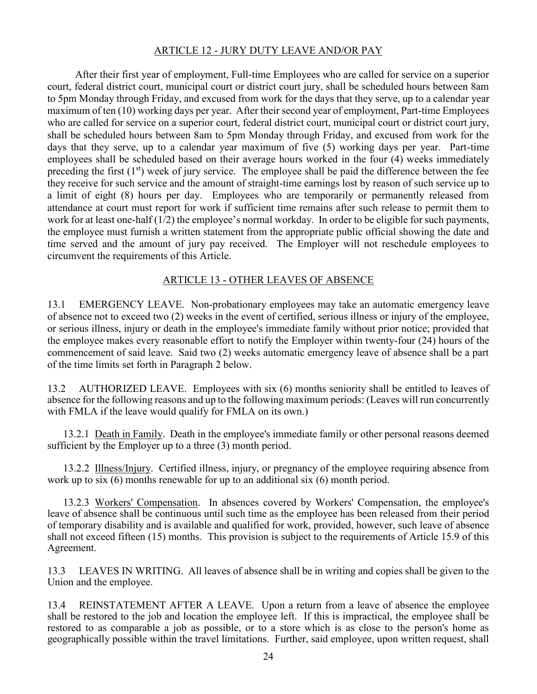## ARTICLE 12 - JURY DUTY LEAVE AND/OR PAY

After their first year of employment, Full-time Employees who are called for service on a superior court, federal district court, municipal court or district court jury, shall be scheduled hours between 8am to 5pm Monday through Friday, and excused from work for the days that they serve, up to a calendar year maximum of ten (10) working days per year. After their second year of employment, Part-time Employees who are called for service on a superior court, federal district court, municipal court or district court jury, shall be scheduled hours between 8am to 5pm Monday through Friday, and excused from work for the days that they serve, up to a calendar year maximum of five (5) working days per year. Part-time employees shall be scheduled based on their average hours worked in the four (4) weeks immediately preceding the first  $(1<sup>st</sup>)$  week of jury service. The employee shall be paid the difference between the fee they receive for such service and the amount of straight-time earnings lost by reason of such service up to a limit of eight (8) hours per day. Employees who are temporarily or permanently released from attendance at court must report for work if sufficient time remains after such release to permit them to work for at least one-half (1/2) the employee's normal workday. In order to be eligible for such payments, the employee must furnish a written statement from the appropriate public official showing the date and time served and the amount of jury pay received. The Employer will not reschedule employees to circumvent the requirements of this Article.

## ARTICLE 13 - OTHER LEAVES OF ABSENCE

13.1 EMERGENCY LEAVE. Non-probationary employees may take an automatic emergency leave of absence not to exceed two (2) weeks in the event of certified, serious illness or injury of the employee, or serious illness, injury or death in the employee's immediate family without prior notice; provided that the employee makes every reasonable effort to notify the Employer within twenty-four (24) hours of the commencement of said leave. Said two (2) weeks automatic emergency leave of absence shall be a part of the time limits set forth in Paragraph 2 below.

13.2 AUTHORIZED LEAVE. Employees with six (6) months seniority shall be entitled to leaves of absence for the following reasons and up to the following maximum periods: (Leaves will run concurrently with FMLA if the leave would qualify for FMLA on its own.)

13.2.1 Death in Family. Death in the employee's immediate family or other personal reasons deemed sufficient by the Employer up to a three (3) month period.

13.2.2 Illness/Injury. Certified illness, injury, or pregnancy of the employee requiring absence from work up to six (6) months renewable for up to an additional six (6) month period.

13.2.3 Workers' Compensation. In absences covered by Workers' Compensation, the employee's leave of absence shall be continuous until such time as the employee has been released from their period of temporary disability and is available and qualified for work, provided, however, such leave of absence shall not exceed fifteen (15) months. This provision is subject to the requirements of Article 15.9 of this Agreement.

13.3 LEAVES IN WRITING. All leaves of absence shall be in writing and copies shall be given to the Union and the employee.

13.4 REINSTATEMENT AFTER A LEAVE. Upon a return from a leave of absence the employee shall be restored to the job and location the employee left. If this is impractical, the employee shall be restored to as comparable a job as possible, or to a store which is as close to the person's home as geographically possible within the travel limitations. Further, said employee, upon written request, shall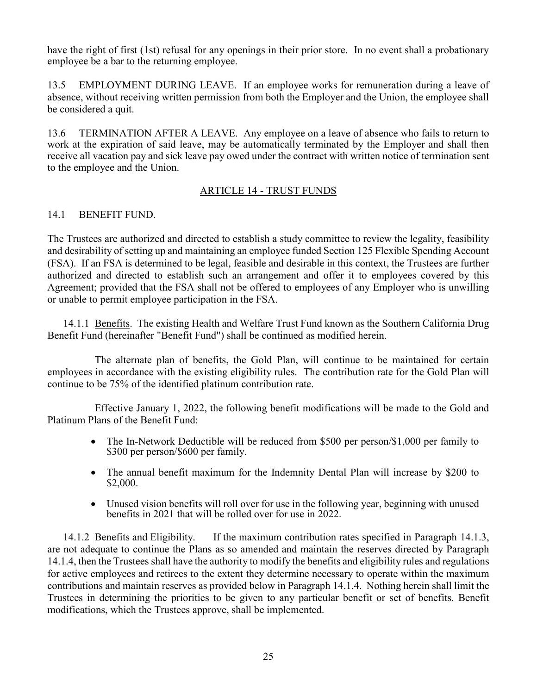have the right of first (1st) refusal for any openings in their prior store. In no event shall a probationary employee be a bar to the returning employee.

13.5 EMPLOYMENT DURING LEAVE. If an employee works for remuneration during a leave of absence, without receiving written permission from both the Employer and the Union, the employee shall be considered a quit.

13.6 TERMINATION AFTER A LEAVE. Any employee on a leave of absence who fails to return to work at the expiration of said leave, may be automatically terminated by the Employer and shall then receive all vacation pay and sick leave pay owed under the contract with written notice of termination sent to the employee and the Union.

## ARTICLE 14 - TRUST FUNDS

## 14.1 BENEFIT FUND.

The Trustees are authorized and directed to establish a study committee to review the legality, feasibility and desirability of setting up and maintaining an employee funded Section 125 Flexible Spending Account (FSA). If an FSA is determined to be legal, feasible and desirable in this context, the Trustees are further authorized and directed to establish such an arrangement and offer it to employees covered by this Agreement; provided that the FSA shall not be offered to employees of any Employer who is unwilling or unable to permit employee participation in the FSA.

14.1.1 Benefits. The existing Health and Welfare Trust Fund known as the Southern California Drug Benefit Fund (hereinafter "Benefit Fund") shall be continued as modified herein.

The alternate plan of benefits, the Gold Plan, will continue to be maintained for certain employees in accordance with the existing eligibility rules. The contribution rate for the Gold Plan will continue to be 75% of the identified platinum contribution rate.

Effective January 1, 2022, the following benefit modifications will be made to the Gold and Platinum Plans of the Benefit Fund:

- The In-Network Deductible will be reduced from \$500 per person/\$1,000 per family to \$300 per person/\$600 per family.
- The annual benefit maximum for the Indemnity Dental Plan will increase by \$200 to \$2,000.
- Unused vision benefits will roll over for use in the following year, beginning with unused benefits in 2021 that will be rolled over for use in 2022.

14.1.2 Benefits and Eligibility. If the maximum contribution rates specified in Paragraph 14.1.3, are not adequate to continue the Plans as so amended and maintain the reserves directed by Paragraph 14.1.4, then the Trustees shall have the authority to modify the benefits and eligibility rules and regulations for active employees and retirees to the extent they determine necessary to operate within the maximum contributions and maintain reserves as provided below in Paragraph 14.1.4. Nothing herein shall limit the Trustees in determining the priorities to be given to any particular benefit or set of benefits. Benefit modifications, which the Trustees approve, shall be implemented.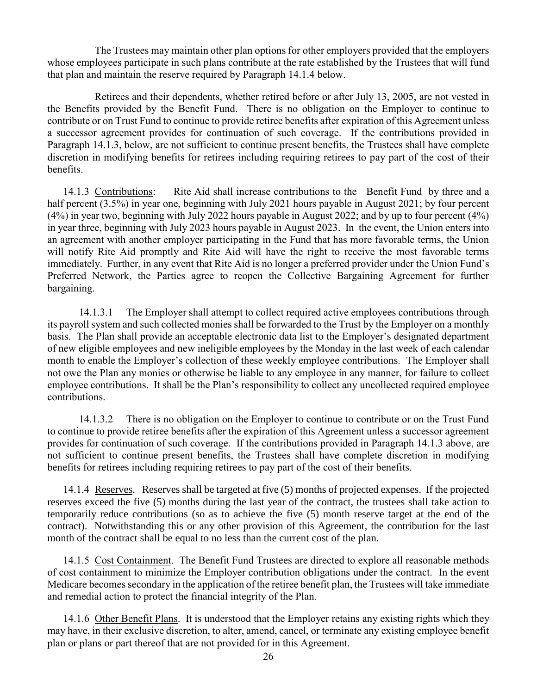The Trustees may maintain other plan options for other employers provided that the employers whose employees participate in such plans contribute at the rate established by the Trustees that will fund that plan and maintain the reserve required by Paragraph 14.1.4 below.

Retirees and their dependents, whether retired before or after July 13, 2005, are not vested in the Benefits provided by the Benefit Fund. There is no obligation on the Employer to continue to contribute or on Trust Fund to continue to provide retiree benefits after expiration of this Agreement unless a successor agreement provides for continuation of such coverage. If the contributions provided in Paragraph 14.1.3, below, are not sufficient to continue present benefits, the Trustees shall have complete discretion in modifying benefits for retirees including requiring retirees to pay part of the cost of their benefits.

14.1.3 Contributions: Rite Aid shall increase contributions to the Benefit Fund by three and a half percent (3.5%) in year one, beginning with July 2021 hours payable in August 2021; by four percent (4%) in year two, beginning with July 2022 hours payable in August 2022; and by up to four percent (4%) in year three, beginning with July 2023 hours payable in August 2023. In the event, the Union enters into an agreement with another employer participating in the Fund that has more favorable terms, the Union will notify Rite Aid promptly and Rite Aid will have the right to receive the most favorable terms immediately. Further, in any event that Rite Aid is no longer a preferred provider under the Union Fund's Preferred Network, the Parties agree to reopen the Collective Bargaining Agreement for further bargaining.

14.1.3.1 The Employer shall attempt to collect required active employees contributions through its payroll system and such collected monies shall be forwarded to the Trust by the Employer on a monthly basis. The Plan shall provide an acceptable electronic data list to the Employer's designated department of new eligible employees and new ineligible employees by the Monday in the last week of each calendar month to enable the Employer's collection of these weekly employee contributions. The Employer shall not owe the Plan any monies or otherwise be liable to any employee in any manner, for failure to collect employee contributions. It shall be the Plan's responsibility to collect any uncollected required employee contributions.

14.1.3.2 There is no obligation on the Employer to continue to contribute or on the Trust Fund to continue to provide retiree benefits after the expiration of this Agreement unless a successor agreement provides for continuation of such coverage. If the contributions provided in Paragraph 14.1.3 above, are not sufficient to continue present benefits, the Trustees shall have complete discretion in modifying benefits for retirees including requiring retirees to pay part of the cost of their benefits.

14.1.4 Reserves. Reserves shall be targeted at five (5) months of projected expenses. If the projected reserves exceed the five (5) months during the last year of the contract, the trustees shall take action to temporarily reduce contributions (so as to achieve the five (5) month reserve target at the end of the contract). Notwithstanding this or any other provision of this Agreement, the contribution for the last month of the contract shall be equal to no less than the current cost of the plan.

14.1.5 Cost Containment. The Benefit Fund Trustees are directed to explore all reasonable methods of cost containment to minimize the Employer contribution obligations under the contract. In the event Medicare becomes secondary in the application of the retiree benefit plan, the Trustees will take immediate and remedial action to protect the financial integrity of the Plan.

14.1.6 Other Benefit Plans. It is understood that the Employer retains any existing rights which they may have, in their exclusive discretion, to alter, amend, cancel, or terminate any existing employee benefit plan or plans or part thereof that are not provided for in this Agreement.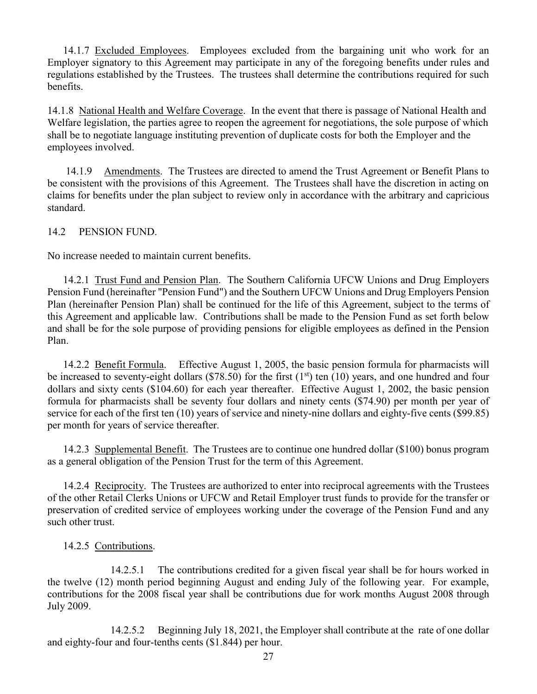14.1.7 Excluded Employees. Employees excluded from the bargaining unit who work for an Employer signatory to this Agreement may participate in any of the foregoing benefits under rules and regulations established by the Trustees. The trustees shall determine the contributions required for such benefits.

14.1.8 National Health and Welfare Coverage. In the event that there is passage of National Health and Welfare legislation, the parties agree to reopen the agreement for negotiations, the sole purpose of which shall be to negotiate language instituting prevention of duplicate costs for both the Employer and the employees involved.

14.1.9 Amendments. The Trustees are directed to amend the Trust Agreement or Benefit Plans to be consistent with the provisions of this Agreement. The Trustees shall have the discretion in acting on claims for benefits under the plan subject to review only in accordance with the arbitrary and capricious standard.

14.2 PENSION FUND.

No increase needed to maintain current benefits.

14.2.1 Trust Fund and Pension Plan. The Southern California UFCW Unions and Drug Employers Pension Fund (hereinafter "Pension Fund") and the Southern UFCW Unions and Drug Employers Pension Plan (hereinafter Pension Plan) shall be continued for the life of this Agreement, subject to the terms of this Agreement and applicable law. Contributions shall be made to the Pension Fund as set forth below and shall be for the sole purpose of providing pensions for eligible employees as defined in the Pension Plan.

14.2.2 Benefit Formula. Effective August 1, 2005, the basic pension formula for pharmacists will be increased to seventy-eight dollars (\$78.50) for the first ( $1<sup>st</sup>$ ) ten (10) years, and one hundred and four dollars and sixty cents (\$104.60) for each year thereafter. Effective August 1, 2002, the basic pension formula for pharmacists shall be seventy four dollars and ninety cents (\$74.90) per month per year of service for each of the first ten (10) years of service and ninety-nine dollars and eighty-five cents (\$99.85) per month for years of service thereafter.

14.2.3 Supplemental Benefit. The Trustees are to continue one hundred dollar (\$100) bonus program as a general obligation of the Pension Trust for the term of this Agreement.

14.2.4 Reciprocity. The Trustees are authorized to enter into reciprocal agreements with the Trustees of the other Retail Clerks Unions or UFCW and Retail Employer trust funds to provide for the transfer or preservation of credited service of employees working under the coverage of the Pension Fund and any such other trust.

## 14.2.5 Contributions.

14.2.5.1 The contributions credited for a given fiscal year shall be for hours worked in the twelve (12) month period beginning August and ending July of the following year. For example, contributions for the 2008 fiscal year shall be contributions due for work months August 2008 through July 2009.

14.2.5.2 Beginning July 18, 2021, the Employer shall contribute at the rate of one dollar and eighty-four and four-tenths cents (\$1.844) per hour.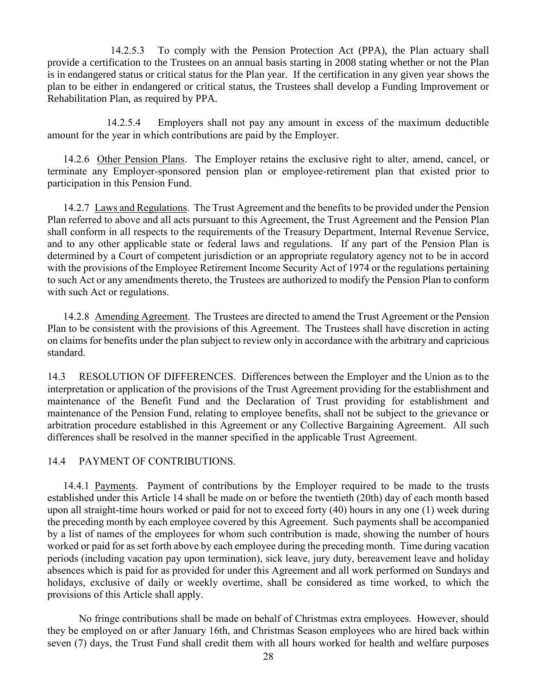14.2.5.3 To comply with the Pension Protection Act (PPA), the Plan actuary shall provide a certification to the Trustees on an annual basis starting in 2008 stating whether or not the Plan is in endangered status or critical status for the Plan year. If the certification in any given year shows the plan to be either in endangered or critical status, the Trustees shall develop a Funding Improvement or Rehabilitation Plan, as required by PPA.

14.2.5.4 Employers shall not pay any amount in excess of the maximum deductible amount for the year in which contributions are paid by the Employer.

14.2.6 Other Pension Plans. The Employer retains the exclusive right to alter, amend, cancel, or terminate any Employer-sponsored pension plan or employee-retirement plan that existed prior to participation in this Pension Fund.

14.2.7 Laws and Regulations. The Trust Agreement and the benefits to be provided under the Pension Plan referred to above and all acts pursuant to this Agreement, the Trust Agreement and the Pension Plan shall conform in all respects to the requirements of the Treasury Department, Internal Revenue Service, and to any other applicable state or federal laws and regulations. If any part of the Pension Plan is determined by a Court of competent jurisdiction or an appropriate regulatory agency not to be in accord with the provisions of the Employee Retirement Income Security Act of 1974 or the regulations pertaining to such Act or any amendments thereto, the Trustees are authorized to modify the Pension Plan to conform with such Act or regulations.

14.2.8 Amending Agreement. The Trustees are directed to amend the Trust Agreement or the Pension Plan to be consistent with the provisions of this Agreement. The Trustees shall have discretion in acting on claims for benefits under the plan subject to review only in accordance with the arbitrary and capricious standard.

14.3 RESOLUTION OF DIFFERENCES. Differences between the Employer and the Union as to the interpretation or application of the provisions of the Trust Agreement providing for the establishment and maintenance of the Benefit Fund and the Declaration of Trust providing for establishment and maintenance of the Pension Fund, relating to employee benefits, shall not be subject to the grievance or arbitration procedure established in this Agreement or any Collective Bargaining Agreement. All such differences shall be resolved in the manner specified in the applicable Trust Agreement.

#### 14.4 PAYMENT OF CONTRIBUTIONS.

14.4.1 Payments. Payment of contributions by the Employer required to be made to the trusts established under this Article 14 shall be made on or before the twentieth (20th) day of each month based upon all straight-time hours worked or paid for not to exceed forty (40) hours in any one (1) week during the preceding month by each employee covered by this Agreement. Such payments shall be accompanied by a list of names of the employees for whom such contribution is made, showing the number of hours worked or paid for as set forth above by each employee during the preceding month. Time during vacation periods (including vacation pay upon termination), sick leave, jury duty, bereavement leave and holiday absences which is paid for as provided for under this Agreement and all work performed on Sundays and holidays, exclusive of daily or weekly overtime, shall be considered as time worked, to which the provisions of this Article shall apply.

No fringe contributions shall be made on behalf of Christmas extra employees. However, should they be employed on or after January 16th, and Christmas Season employees who are hired back within seven (7) days, the Trust Fund shall credit them with all hours worked for health and welfare purposes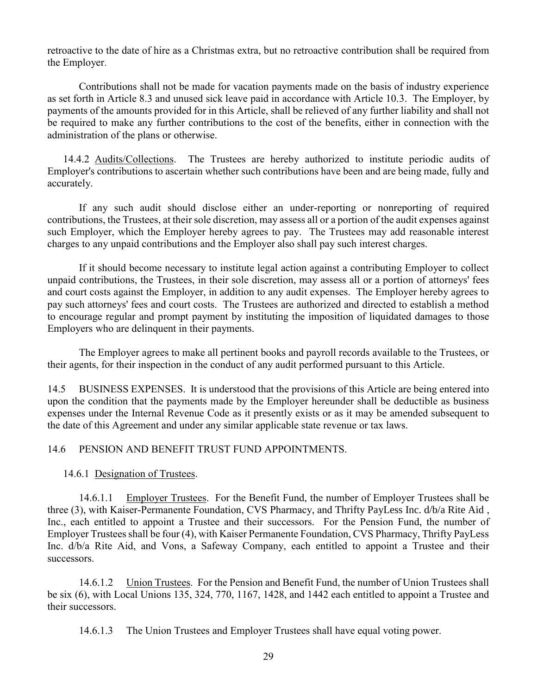retroactive to the date of hire as a Christmas extra, but no retroactive contribution shall be required from the Employer.

Contributions shall not be made for vacation payments made on the basis of industry experience as set forth in Article 8.3 and unused sick leave paid in accordance with Article 10.3. The Employer, by payments of the amounts provided for in this Article, shall be relieved of any further liability and shall not be required to make any further contributions to the cost of the benefits, either in connection with the administration of the plans or otherwise.

14.4.2 Audits/Collections. The Trustees are hereby authorized to institute periodic audits of Employer's contributions to ascertain whether such contributions have been and are being made, fully and accurately.

If any such audit should disclose either an under-reporting or nonreporting of required contributions, the Trustees, at their sole discretion, may assess all or a portion of the audit expenses against such Employer, which the Employer hereby agrees to pay. The Trustees may add reasonable interest charges to any unpaid contributions and the Employer also shall pay such interest charges.

If it should become necessary to institute legal action against a contributing Employer to collect unpaid contributions, the Trustees, in their sole discretion, may assess all or a portion of attorneys' fees and court costs against the Employer, in addition to any audit expenses. The Employer hereby agrees to pay such attorneys' fees and court costs. The Trustees are authorized and directed to establish a method to encourage regular and prompt payment by instituting the imposition of liquidated damages to those Employers who are delinquent in their payments.

The Employer agrees to make all pertinent books and payroll records available to the Trustees, or their agents, for their inspection in the conduct of any audit performed pursuant to this Article.

14.5 BUSINESS EXPENSES. It is understood that the provisions of this Article are being entered into upon the condition that the payments made by the Employer hereunder shall be deductible as business expenses under the Internal Revenue Code as it presently exists or as it may be amended subsequent to the date of this Agreement and under any similar applicable state revenue or tax laws.

#### 14.6 PENSION AND BENEFIT TRUST FUND APPOINTMENTS.

#### 14.6.1 Designation of Trustees.

14.6.1.1 Employer Trustees. For the Benefit Fund, the number of Employer Trustees shall be three (3), with Kaiser-Permanente Foundation, CVS Pharmacy, and Thrifty PayLess Inc. d/b/a Rite Aid , Inc., each entitled to appoint a Trustee and their successors. For the Pension Fund, the number of Employer Trustees shall be four (4), with Kaiser Permanente Foundation, CVS Pharmacy, Thrifty PayLess Inc. d/b/a Rite Aid, and Vons, a Safeway Company, each entitled to appoint a Trustee and their successors.

14.6.1.2 Union Trustees. For the Pension and Benefit Fund, the number of Union Trustees shall be six (6), with Local Unions 135, 324, 770, 1167, 1428, and 1442 each entitled to appoint a Trustee and their successors.

14.6.1.3 The Union Trustees and Employer Trustees shall have equal voting power.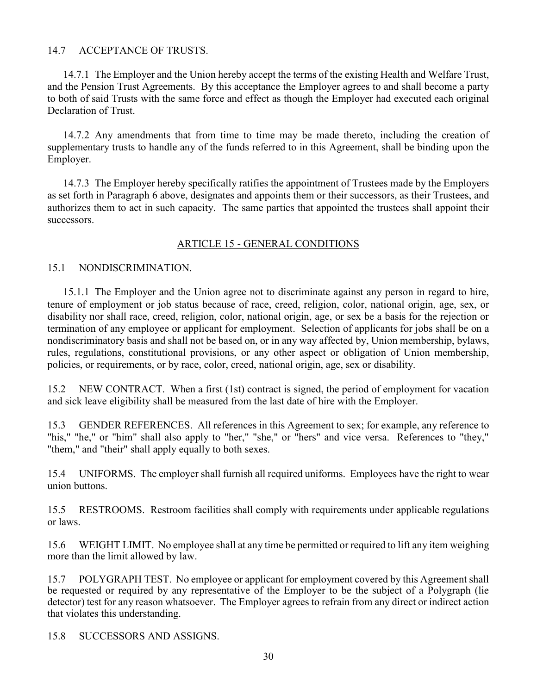## 14.7 ACCEPTANCE OF TRUSTS.

14.7.1 The Employer and the Union hereby accept the terms of the existing Health and Welfare Trust, and the Pension Trust Agreements. By this acceptance the Employer agrees to and shall become a party to both of said Trusts with the same force and effect as though the Employer had executed each original Declaration of Trust.

14.7.2 Any amendments that from time to time may be made thereto, including the creation of supplementary trusts to handle any of the funds referred to in this Agreement, shall be binding upon the Employer.

14.7.3 The Employer hereby specifically ratifies the appointment of Trustees made by the Employers as set forth in Paragraph 6 above, designates and appoints them or their successors, as their Trustees, and authorizes them to act in such capacity. The same parties that appointed the trustees shall appoint their successors.

## ARTICLE 15 - GENERAL CONDITIONS

#### 15.1 NONDISCRIMINATION.

15.1.1 The Employer and the Union agree not to discriminate against any person in regard to hire, tenure of employment or job status because of race, creed, religion, color, national origin, age, sex, or disability nor shall race, creed, religion, color, national origin, age, or sex be a basis for the rejection or termination of any employee or applicant for employment. Selection of applicants for jobs shall be on a nondiscriminatory basis and shall not be based on, or in any way affected by, Union membership, bylaws, rules, regulations, constitutional provisions, or any other aspect or obligation of Union membership, policies, or requirements, or by race, color, creed, national origin, age, sex or disability.

15.2 NEW CONTRACT. When a first (1st) contract is signed, the period of employment for vacation and sick leave eligibility shall be measured from the last date of hire with the Employer.

15.3 GENDER REFERENCES. All references in this Agreement to sex; for example, any reference to "his," "he," or "him" shall also apply to "her," "she," or "hers" and vice versa. References to "they," "them," and "their" shall apply equally to both sexes.

15.4 UNIFORMS. The employer shall furnish all required uniforms. Employees have the right to wear union buttons.

15.5 RESTROOMS. Restroom facilities shall comply with requirements under applicable regulations or laws.

15.6 WEIGHT LIMIT. No employee shall at any time be permitted or required to lift any item weighing more than the limit allowed by law.

15.7 POLYGRAPH TEST. No employee or applicant for employment covered by this Agreement shall be requested or required by any representative of the Employer to be the subject of a Polygraph (lie detector) test for any reason whatsoever. The Employer agrees to refrain from any direct or indirect action that violates this understanding.

15.8 SUCCESSORS AND ASSIGNS.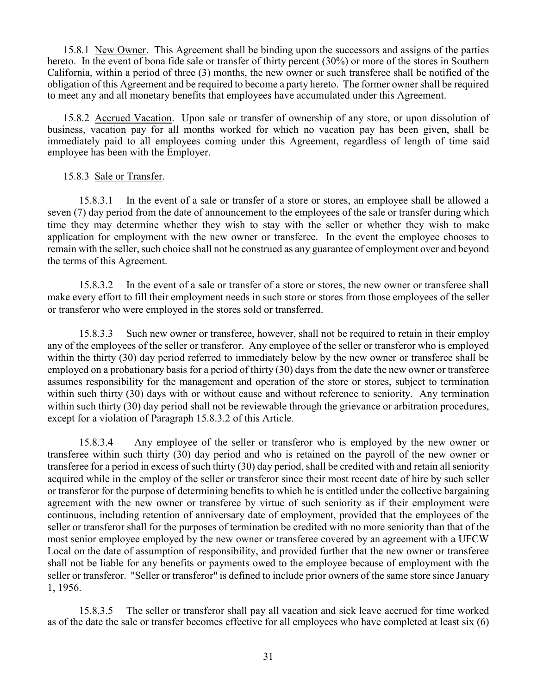15.8.1 New Owner. This Agreement shall be binding upon the successors and assigns of the parties hereto. In the event of bona fide sale or transfer of thirty percent (30%) or more of the stores in Southern California, within a period of three (3) months, the new owner or such transferee shall be notified of the obligation of this Agreement and be required to become a party hereto. The former owner shall be required to meet any and all monetary benefits that employees have accumulated under this Agreement.

15.8.2 Accrued Vacation. Upon sale or transfer of ownership of any store, or upon dissolution of business, vacation pay for all months worked for which no vacation pay has been given, shall be immediately paid to all employees coming under this Agreement, regardless of length of time said employee has been with the Employer.

#### 15.8.3 Sale or Transfer.

15.8.3.1 In the event of a sale or transfer of a store or stores, an employee shall be allowed a seven (7) day period from the date of announcement to the employees of the sale or transfer during which time they may determine whether they wish to stay with the seller or whether they wish to make application for employment with the new owner or transferee. In the event the employee chooses to remain with the seller, such choice shall not be construed as any guarantee of employment over and beyond the terms of this Agreement.

15.8.3.2 In the event of a sale or transfer of a store or stores, the new owner or transferee shall make every effort to fill their employment needs in such store or stores from those employees of the seller or transferor who were employed in the stores sold or transferred.

15.8.3.3 Such new owner or transferee, however, shall not be required to retain in their employ any of the employees of the seller or transferor. Any employee of the seller or transferor who is employed within the thirty (30) day period referred to immediately below by the new owner or transferee shall be employed on a probationary basis for a period of thirty (30) days from the date the new owner or transferee assumes responsibility for the management and operation of the store or stores, subject to termination within such thirty (30) days with or without cause and without reference to seniority. Any termination within such thirty (30) day period shall not be reviewable through the grievance or arbitration procedures, except for a violation of Paragraph 15.8.3.2 of this Article.

15.8.3.4 Any employee of the seller or transferor who is employed by the new owner or transferee within such thirty (30) day period and who is retained on the payroll of the new owner or transferee for a period in excess of such thirty (30) day period, shall be credited with and retain all seniority acquired while in the employ of the seller or transferor since their most recent date of hire by such seller or transferor for the purpose of determining benefits to which he is entitled under the collective bargaining agreement with the new owner or transferee by virtue of such seniority as if their employment were continuous, including retention of anniversary date of employment, provided that the employees of the seller or transferor shall for the purposes of termination be credited with no more seniority than that of the most senior employee employed by the new owner or transferee covered by an agreement with a UFCW Local on the date of assumption of responsibility, and provided further that the new owner or transferee shall not be liable for any benefits or payments owed to the employee because of employment with the seller or transferor. "Seller or transferor" is defined to include prior owners of the same store since January 1, 1956.

15.8.3.5 The seller or transferor shall pay all vacation and sick leave accrued for time worked as of the date the sale or transfer becomes effective for all employees who have completed at least six (6)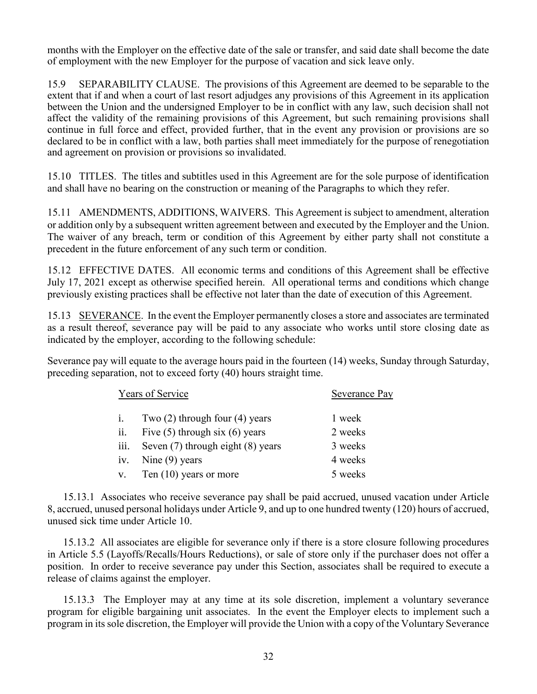months with the Employer on the effective date of the sale or transfer, and said date shall become the date of employment with the new Employer for the purpose of vacation and sick leave only.

15.9 SEPARABILITY CLAUSE. The provisions of this Agreement are deemed to be separable to the extent that if and when a court of last resort adjudges any provisions of this Agreement in its application between the Union and the undersigned Employer to be in conflict with any law, such decision shall not affect the validity of the remaining provisions of this Agreement, but such remaining provisions shall continue in full force and effect, provided further, that in the event any provision or provisions are so declared to be in conflict with a law, both parties shall meet immediately for the purpose of renegotiation and agreement on provision or provisions so invalidated.

15.10 TITLES. The titles and subtitles used in this Agreement are for the sole purpose of identification and shall have no bearing on the construction or meaning of the Paragraphs to which they refer.

15.11 AMENDMENTS, ADDITIONS, WAIVERS. This Agreement is subject to amendment, alteration or addition only by a subsequent written agreement between and executed by the Employer and the Union. The waiver of any breach, term or condition of this Agreement by either party shall not constitute a precedent in the future enforcement of any such term or condition.

15.12 EFFECTIVE DATES. All economic terms and conditions of this Agreement shall be effective July 17, 2021 except as otherwise specified herein. All operational terms and conditions which change previously existing practices shall be effective not later than the date of execution of this Agreement.

15.13 SEVERANCE. In the event the Employer permanently closes a store and associates are terminated as a result thereof, severance pay will be paid to any associate who works until store closing date as indicated by the employer, according to the following schedule:

Severance pay will equate to the average hours paid in the fourteen (14) weeks, Sunday through Saturday, preceding separation, not to exceed forty (40) hours straight time.

|                   | Years of Service                   | Severance Pay |  |  |
|-------------------|------------------------------------|---------------|--|--|
| $\mathbf{1}$ .    | Two $(2)$ through four $(4)$ years | 1 week        |  |  |
| $\overline{11}$ . | Five $(5)$ through six $(6)$ years | 2 weeks       |  |  |
| iii.              | Seven (7) through eight (8) years  | 3 weeks       |  |  |
| 1V.               | Nine $(9)$ years                   | 4 weeks       |  |  |
|                   | Ten $(10)$ years or more           | 5 weeks       |  |  |

15.13.1 Associates who receive severance pay shall be paid accrued, unused vacation under Article 8, accrued, unused personal holidays under Article 9, and up to one hundred twenty (120) hours of accrued, unused sick time under Article 10.

15.13.2 All associates are eligible for severance only if there is a store closure following procedures in Article 5.5 (Layoffs/Recalls/Hours Reductions), or sale of store only if the purchaser does not offer a position. In order to receive severance pay under this Section, associates shall be required to execute a release of claims against the employer.

15.13.3 The Employer may at any time at its sole discretion, implement a voluntary severance program for eligible bargaining unit associates. In the event the Employer elects to implement such a program in its sole discretion, the Employer will provide the Union with a copy of the Voluntary Severance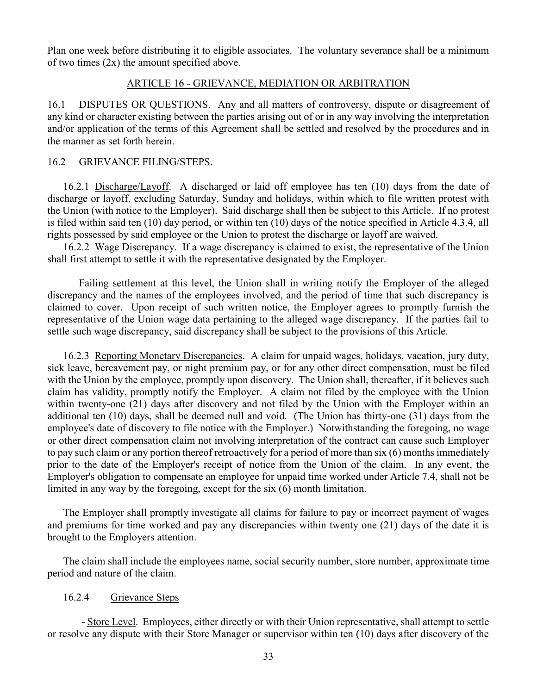Plan one week before distributing it to eligible associates. The voluntary severance shall be a minimum of two times (2x) the amount specified above.

#### ARTICLE 16 - GRIEVANCE, MEDIATION OR ARBITRATION

16.1 DISPUTES OR QUESTIONS. Any and all matters of controversy, dispute or disagreement of any kind or character existing between the parties arising out of or in any way involving the interpretation and/or application of the terms of this Agreement shall be settled and resolved by the procedures and in the manner as set forth herein.

#### 16.2 GRIEVANCE FILING/STEPS.

16.2.1 Discharge/Layoff. A discharged or laid off employee has ten (10) days from the date of discharge or layoff, excluding Saturday, Sunday and holidays, within which to file written protest with the Union (with notice to the Employer). Said discharge shall then be subject to this Article. If no protest is filed within said ten (10) day period, or within ten (10) days of the notice specified in Article 4.3.4, all rights possessed by said employee or the Union to protest the discharge or layoff are waived.

16.2.2 Wage Discrepancy. If a wage discrepancy is claimed to exist, the representative of the Union shall first attempt to settle it with the representative designated by the Employer.

Failing settlement at this level, the Union shall in writing notify the Employer of the alleged discrepancy and the names of the employees involved, and the period of time that such discrepancy is claimed to cover. Upon receipt of such written notice, the Employer agrees to promptly furnish the representative of the Union wage data pertaining to the alleged wage discrepancy. If the parties fail to settle such wage discrepancy, said discrepancy shall be subject to the provisions of this Article.

16.2.3 Reporting Monetary Discrepancies. A claim for unpaid wages, holidays, vacation, jury duty, sick leave, bereavement pay, or night premium pay, or for any other direct compensation, must be filed with the Union by the employee, promptly upon discovery. The Union shall, thereafter, if it believes such claim has validity, promptly notify the Employer. A claim not filed by the employee with the Union within twenty-one (21) days after discovery and not filed by the Union with the Employer within an additional ten (10) days, shall be deemed null and void. (The Union has thirty-one (31) days from the employee's date of discovery to file notice with the Employer.) Notwithstanding the foregoing, no wage or other direct compensation claim not involving interpretation of the contract can cause such Employer to pay such claim or any portion thereof retroactively for a period of more than six (6) months immediately prior to the date of the Employer's receipt of notice from the Union of the claim. In any event, the Employer's obligation to compensate an employee for unpaid time worked under Article 7.4, shall not be limited in any way by the foregoing, except for the six (6) month limitation.

The Employer shall promptly investigate all claims for failure to pay or incorrect payment of wages and premiums for time worked and pay any discrepancies within twenty one (21) days of the date it is brought to the Employers attention.

The claim shall include the employees name, social security number, store number, approximate time period and nature of the claim.

#### 16.2.4 Grievance Steps

- Store Level. Employees, either directly or with their Union representative, shall attempt to settle or resolve any dispute with their Store Manager or supervisor within ten (10) days after discovery of the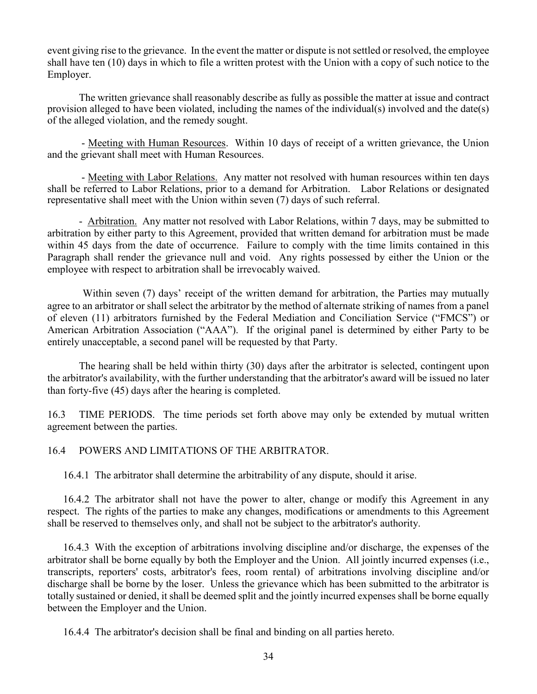event giving rise to the grievance. In the event the matter or dispute is not settled or resolved, the employee shall have ten (10) days in which to file a written protest with the Union with a copy of such notice to the Employer.

The written grievance shall reasonably describe as fully as possible the matter at issue and contract provision alleged to have been violated, including the names of the individual(s) involved and the date(s) of the alleged violation, and the remedy sought.

- Meeting with Human Resources. Within 10 days of receipt of a written grievance, the Union and the grievant shall meet with Human Resources.

- Meeting with Labor Relations. Any matter not resolved with human resources within ten days shall be referred to Labor Relations, prior to a demand for Arbitration. Labor Relations or designated representative shall meet with the Union within seven (7) days of such referral.

- Arbitration. Any matter not resolved with Labor Relations, within 7 days, may be submitted to arbitration by either party to this Agreement, provided that written demand for arbitration must be made within 45 days from the date of occurrence. Failure to comply with the time limits contained in this Paragraph shall render the grievance null and void. Any rights possessed by either the Union or the employee with respect to arbitration shall be irrevocably waived.

Within seven (7) days' receipt of the written demand for arbitration, the Parties may mutually agree to an arbitrator or shall select the arbitrator by the method of alternate striking of names from a panel of eleven (11) arbitrators furnished by the Federal Mediation and Conciliation Service ("FMCS") or American Arbitration Association ("AAA"). If the original panel is determined by either Party to be entirely unacceptable, a second panel will be requested by that Party.

The hearing shall be held within thirty (30) days after the arbitrator is selected, contingent upon the arbitrator's availability, with the further understanding that the arbitrator's award will be issued no later than forty-five (45) days after the hearing is completed.

16.3 TIME PERIODS. The time periods set forth above may only be extended by mutual written agreement between the parties.

## 16.4 POWERS AND LIMITATIONS OF THE ARBITRATOR.

16.4.1 The arbitrator shall determine the arbitrability of any dispute, should it arise.

16.4.2 The arbitrator shall not have the power to alter, change or modify this Agreement in any respect. The rights of the parties to make any changes, modifications or amendments to this Agreement shall be reserved to themselves only, and shall not be subject to the arbitrator's authority.

16.4.3 With the exception of arbitrations involving discipline and/or discharge, the expenses of the arbitrator shall be borne equally by both the Employer and the Union. All jointly incurred expenses (i.e., transcripts, reporters' costs, arbitrator's fees, room rental) of arbitrations involving discipline and/or discharge shall be borne by the loser. Unless the grievance which has been submitted to the arbitrator is totally sustained or denied, it shall be deemed split and the jointly incurred expenses shall be borne equally between the Employer and the Union.

16.4.4 The arbitrator's decision shall be final and binding on all parties hereto.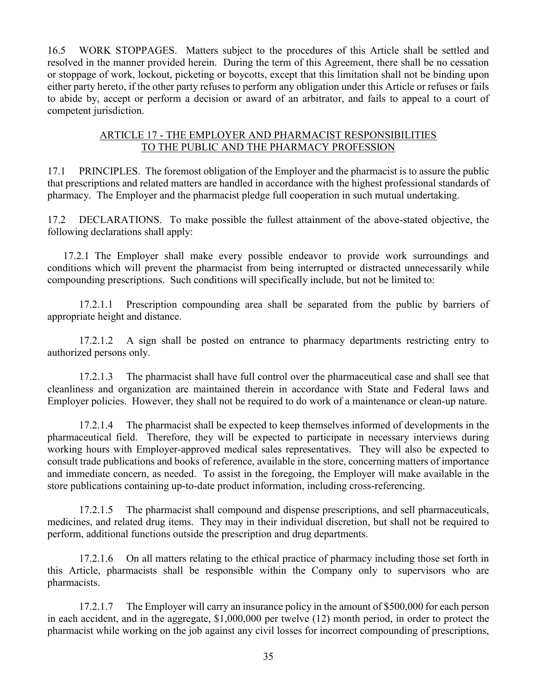16.5 WORK STOPPAGES. Matters subject to the procedures of this Article shall be settled and resolved in the manner provided herein. During the term of this Agreement, there shall be no cessation or stoppage of work, lockout, picketing or boycotts, except that this limitation shall not be binding upon either party hereto, if the other party refuses to perform any obligation under this Article or refuses or fails to abide by, accept or perform a decision or award of an arbitrator, and fails to appeal to a court of competent jurisdiction.

## ARTICLE 17 - THE EMPLOYER AND PHARMACIST RESPONSIBILITIES TO THE PUBLIC AND THE PHARMACY PROFESSION

17.1 PRINCIPLES. The foremost obligation of the Employer and the pharmacist is to assure the public that prescriptions and related matters are handled in accordance with the highest professional standards of pharmacy. The Employer and the pharmacist pledge full cooperation in such mutual undertaking.

17.2 DECLARATIONS. To make possible the fullest attainment of the above-stated objective, the following declarations shall apply:

17.2.1 The Employer shall make every possible endeavor to provide work surroundings and conditions which will prevent the pharmacist from being interrupted or distracted unnecessarily while compounding prescriptions. Such conditions will specifically include, but not be limited to:

17.2.1.1 Prescription compounding area shall be separated from the public by barriers of appropriate height and distance.

17.2.1.2 A sign shall be posted on entrance to pharmacy departments restricting entry to authorized persons only.

17.2.1.3 The pharmacist shall have full control over the pharmaceutical case and shall see that cleanliness and organization are maintained therein in accordance with State and Federal laws and Employer policies. However, they shall not be required to do work of a maintenance or clean-up nature.

17.2.1.4 The pharmacist shall be expected to keep themselves informed of developments in the pharmaceutical field. Therefore, they will be expected to participate in necessary interviews during working hours with Employer-approved medical sales representatives. They will also be expected to consult trade publications and books of reference, available in the store, concerning matters of importance and immediate concern, as needed. To assist in the foregoing, the Employer will make available in the store publications containing up-to-date product information, including cross-referencing.

17.2.1.5 The pharmacist shall compound and dispense prescriptions, and sell pharmaceuticals, medicines, and related drug items. They may in their individual discretion, but shall not be required to perform, additional functions outside the prescription and drug departments.

17.2.1.6 On all matters relating to the ethical practice of pharmacy including those set forth in this Article, pharmacists shall be responsible within the Company only to supervisors who are pharmacists.

17.2.1.7 The Employer will carry an insurance policy in the amount of \$500,000 for each person in each accident, and in the aggregate, \$1,000,000 per twelve (12) month period, in order to protect the pharmacist while working on the job against any civil losses for incorrect compounding of prescriptions,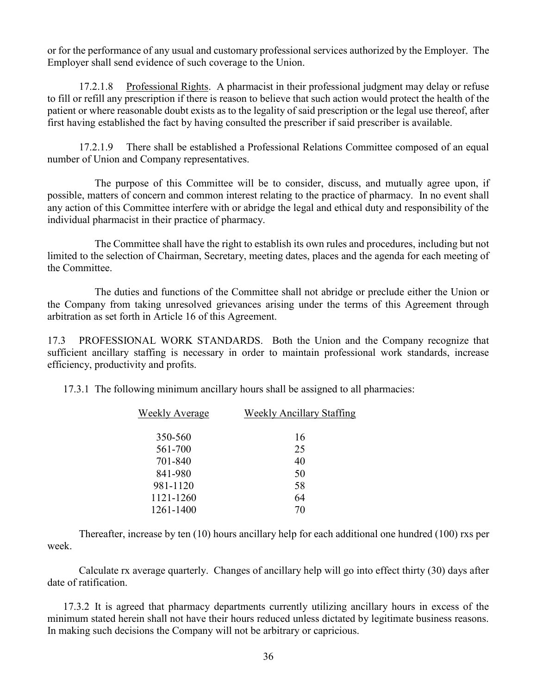or for the performance of any usual and customary professional services authorized by the Employer. The Employer shall send evidence of such coverage to the Union.

17.2.1.8 Professional Rights. A pharmacist in their professional judgment may delay or refuse to fill or refill any prescription if there is reason to believe that such action would protect the health of the patient or where reasonable doubt exists as to the legality of said prescription or the legal use thereof, after first having established the fact by having consulted the prescriber if said prescriber is available.

17.2.1.9 There shall be established a Professional Relations Committee composed of an equal number of Union and Company representatives.

The purpose of this Committee will be to consider, discuss, and mutually agree upon, if possible, matters of concern and common interest relating to the practice of pharmacy. In no event shall any action of this Committee interfere with or abridge the legal and ethical duty and responsibility of the individual pharmacist in their practice of pharmacy.

The Committee shall have the right to establish its own rules and procedures, including but not limited to the selection of Chairman, Secretary, meeting dates, places and the agenda for each meeting of the Committee.

The duties and functions of the Committee shall not abridge or preclude either the Union or the Company from taking unresolved grievances arising under the terms of this Agreement through arbitration as set forth in Article 16 of this Agreement.

17.3 PROFESSIONAL WORK STANDARDS. Both the Union and the Company recognize that sufficient ancillary staffing is necessary in order to maintain professional work standards, increase efficiency, productivity and profits.

17.3.1 The following minimum ancillary hours shall be assigned to all pharmacies:

| Weekly Average | <b>Weekly Ancillary Staffing</b> |  |  |
|----------------|----------------------------------|--|--|
| 350-560        | 16                               |  |  |
| 561-700        | 25                               |  |  |
| 701-840        | 40                               |  |  |
| 841-980        | 50                               |  |  |
| 981-1120       | 58                               |  |  |
| 1121-1260      | 64                               |  |  |
| 1261-1400      | 70                               |  |  |

Thereafter, increase by ten (10) hours ancillary help for each additional one hundred (100) rxs per week.

Calculate rx average quarterly. Changes of ancillary help will go into effect thirty (30) days after date of ratification.

17.3.2 It is agreed that pharmacy departments currently utilizing ancillary hours in excess of the minimum stated herein shall not have their hours reduced unless dictated by legitimate business reasons. In making such decisions the Company will not be arbitrary or capricious.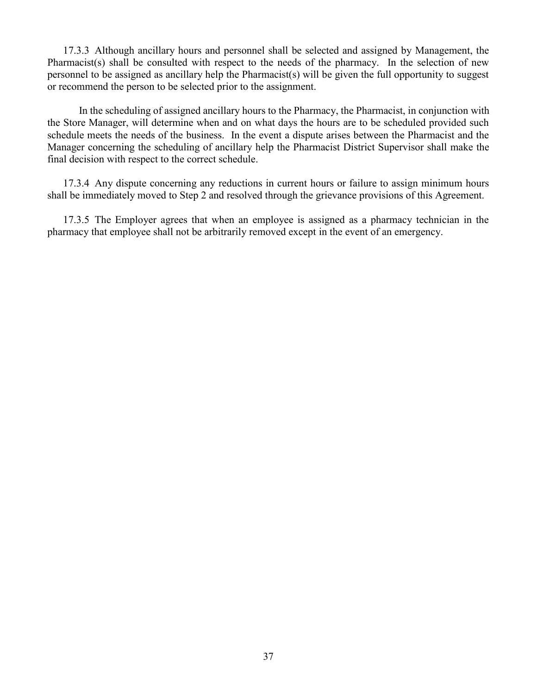17.3.3 Although ancillary hours and personnel shall be selected and assigned by Management, the Pharmacist(s) shall be consulted with respect to the needs of the pharmacy. In the selection of new personnel to be assigned as ancillary help the Pharmacist(s) will be given the full opportunity to suggest or recommend the person to be selected prior to the assignment.

In the scheduling of assigned ancillary hours to the Pharmacy, the Pharmacist, in conjunction with the Store Manager, will determine when and on what days the hours are to be scheduled provided such schedule meets the needs of the business. In the event a dispute arises between the Pharmacist and the Manager concerning the scheduling of ancillary help the Pharmacist District Supervisor shall make the final decision with respect to the correct schedule.

17.3.4 Any dispute concerning any reductions in current hours or failure to assign minimum hours shall be immediately moved to Step 2 and resolved through the grievance provisions of this Agreement.

17.3.5 The Employer agrees that when an employee is assigned as a pharmacy technician in the pharmacy that employee shall not be arbitrarily removed except in the event of an emergency.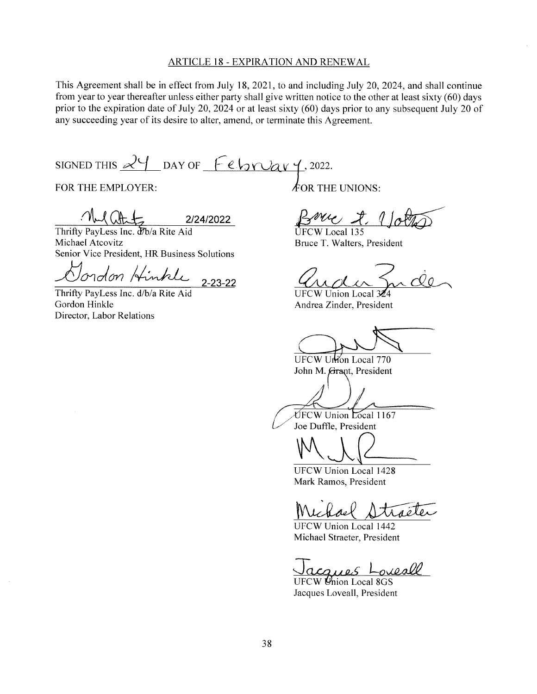#### **ARTICLE 18 - EXPIRATION AND RENEWAL**

This Agreement shall be in effect from July 18, 2021, to and including July 20, 2024, and shall continue from year to year thereafter unless either party shall give written notice to the other at least sixty (60) days prior to the expiration date of July 20, 2024 or at least sixty (60) days prior to any subsequent July 20 of any succeeding year of its desire to alter, amend, or terminate this Agreement.

SIGNED THIS  $24$  DAY OF February, 2022.

FOR THE EMPLOYER:

2/24/2022

Thrifty PayLess Inc. d7b/a Rite Aid Michael Atcovitz Senior Vice President, HR Business Solutions

lordon Hinkle  $2 - 23 - 22$ 

Thrifty PayLess Inc. d/b/a Rite Aid Gordon Hinkle Director, Labor Relations

 $\oint$ OR THE UNIONS:

UFCW Local 135 Bruce T. Walters, President

**UFCW Union Local** Andrea Zinder, President

UFCW Ution Local 770 John M. Grant, President

UFCW Union Local 1167 Joe Duffle, President

UFCW Union Local 1428 Mark Ramos, President

aéles

**UFCW Union Local 1442** Michael Straeter, President

ouesll  $100,06$ 

UFCW Union Local 8GS Jacques Loveall, President